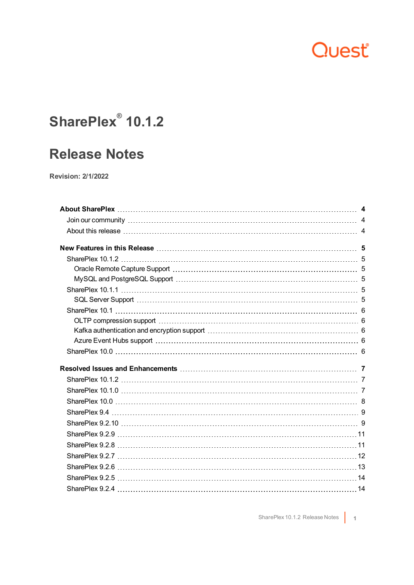## Quest

### **SharePlex® 10.1.2**

### **Release Notes**

**Revision: 2/1/2022**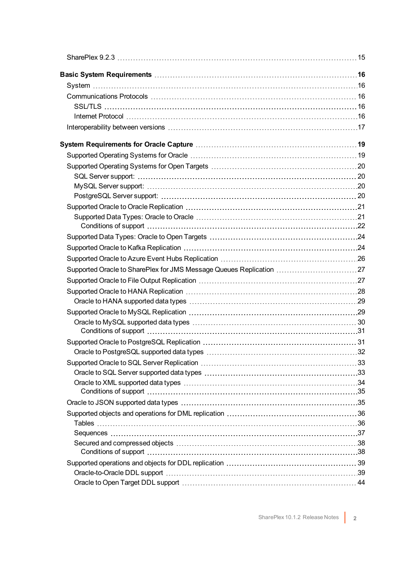| Supported Oracle to SharePlex for JMS Message Queues Replication 27 |  |
|---------------------------------------------------------------------|--|
|                                                                     |  |
|                                                                     |  |
|                                                                     |  |
|                                                                     |  |
|                                                                     |  |
|                                                                     |  |
|                                                                     |  |
|                                                                     |  |
|                                                                     |  |
|                                                                     |  |
|                                                                     |  |
|                                                                     |  |
|                                                                     |  |
|                                                                     |  |
|                                                                     |  |
|                                                                     |  |
|                                                                     |  |
|                                                                     |  |
|                                                                     |  |
|                                                                     |  |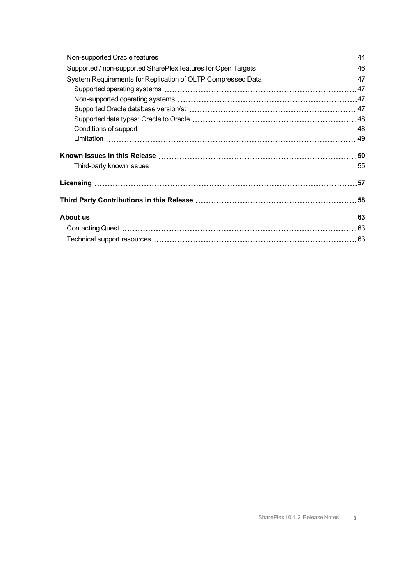| Known Issues in this Release …………………………………………………………………………50        |  |
|--------------------------------------------------------------------|--|
|                                                                    |  |
|                                                                    |  |
| Third Party Contributions in this Release …………………………………………………………58 |  |
|                                                                    |  |
|                                                                    |  |
|                                                                    |  |
|                                                                    |  |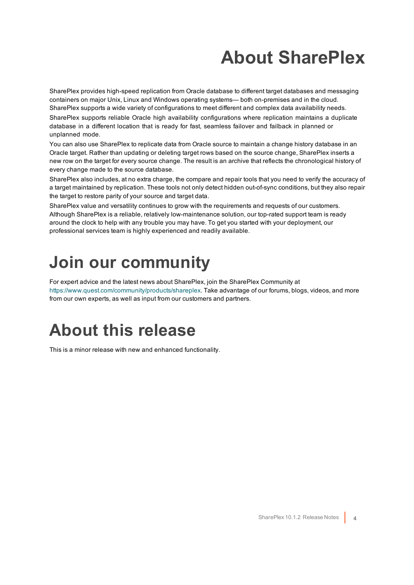# **About SharePlex**

<span id="page-3-0"></span>SharePlex provides high-speed replication from Oracle database to different target databases and messaging containers on major Unix, Linux and Windows operating systems— both on-premises and in the cloud. SharePlex supports a wide variety of configurations to meet different and complex data availability needs.

SharePlex supports reliable Oracle high availability configurations where replication maintains a duplicate database in a different location that is ready for fast, seamless failover and failback in planned or unplanned mode.

You can also use SharePlex to replicate data from Oracle source to maintain a change history database in an Oracle target. Rather than updating or deleting target rows based on the source change, SharePlex inserts a new row on the target for every source change. The result is an archive that reflects the chronological history of every change made to the source database.

SharePlex also includes, at no extra charge, the compare and repair tools that you need to verify the accuracy of a target maintained by replication. These tools not only detect hidden out-of-sync conditions, but they also repair the target to restore parity of your source and target data.

SharePlex value and versatility continues to grow with the requirements and requests of our customers. Although SharePlex is a reliable, relatively low-maintenance solution, our top-rated support team is ready around the clock to help with any trouble you may have. To get you started with your deployment, our professional services team is highly experienced and readily available.

## <span id="page-3-1"></span>**Join our community**

For expert advice and the latest news about SharePlex, join the SharePlex Community at [https://www.quest.com/community/products/shareplex.](https://www.quest.com/community/products/shareplex) Take advantage of our forums, blogs, videos, and more from our own experts, as well as input from our customers and partners.

## <span id="page-3-2"></span>**About this release**

This is a minor release with new and enhanced functionality.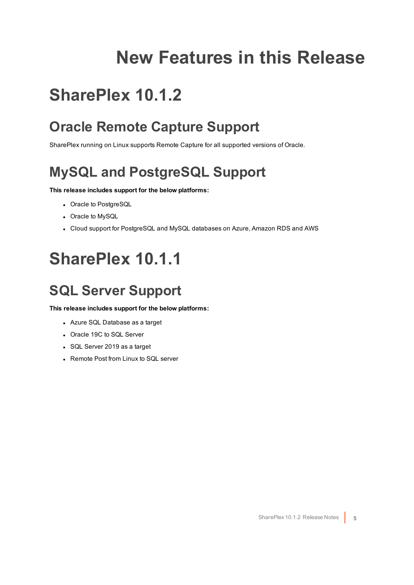## **New Features in this Release**

## <span id="page-4-1"></span><span id="page-4-0"></span>**SharePlex 10.1.2**

### <span id="page-4-2"></span>**Oracle Remote Capture Support**

<span id="page-4-3"></span>SharePlex running on Linux supports Remote Capture for all supported versions of Oracle.

### **MySQL and PostgreSQL Support**

### **This release includes support for the below platforms:**

- Oracle to PostgreSQL
- Oracle to MySQL
- <span id="page-4-4"></span>• Cloud support for PostgreSQL and MySQL databases on Azure, Amazon RDS and AWS

## **SharePlex 10.1.1**

### <span id="page-4-5"></span>**SQL Server Support**

**This release includes support for the below platforms:**

- Azure SQL Database as a target
- Oracle 19C to SQL Server
- SQL Server 2019 as a target
- Remote Post from Linux to SQL server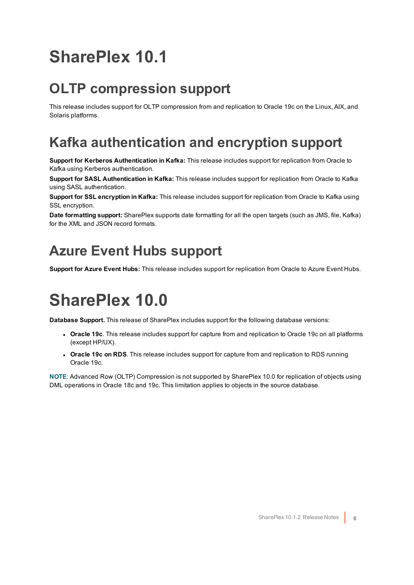## <span id="page-5-0"></span>**SharePlex 10.1**

### <span id="page-5-1"></span>**OLTP compression support**

This release includes support for OLTP compression from and replication to Oracle 19c on the Linux, AIX, and Solaris platforms.

### <span id="page-5-2"></span>**Kafka authentication and encryption support**

**Support for Kerberos Authentication in Kafka:** This release includes support for replication from Oracle to Kafka using Kerberos authentication.

**Support for SASL Authentication in Kafka:** This release includes support for replication from Oracle to Kafka using SASL authentication.

**Support for SSL encryption in Kafka:** This release includes support for replication from Oracle to Kafka using SSL encryption.

**Date formatting support:** SharePlex supports date formatting for all the open targets (such as JMS, file, Kafka) for the XML and JSON record formats.

### <span id="page-5-3"></span>**Azure Event Hubs support**

<span id="page-5-4"></span>**Support for Azure Event Hubs:** This release includes support for replication from Oracle to Azure Event Hubs.

## **SharePlex 10.0**

**Database Support.** This release of SharePlex includes support for the following database versions:

- **Oracle 19c**. This release includes support for capture from and replication to Oracle 19c on all platforms (except HP/UX).
- <sup>l</sup> **Oracle 19c on RDS**. This release includes support for capture from and replication to RDS running Oracle 19c.

**NOTE**: Advanced Row (OLTP) Compression is not supported by SharePlex 10.0 for replication of objects using DML operations in Oracle 18c and 19c. This limitation applies to objects in the source database.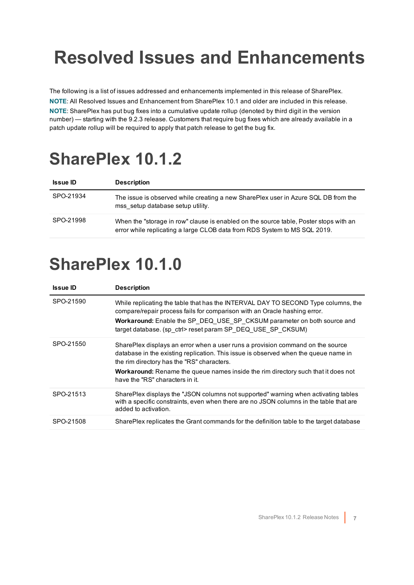# <span id="page-6-0"></span>**Resolved Issues and Enhancements**

The following is a list of issues addressed and enhancements implemented in this release of SharePlex. **NOTE**: All Resolved Issues and Enhancement from SharePlex 10.1 and older are included in this release. **NOTE**: SharePlex has put bug fixes into a cumulative update rollup (denoted by third digit in the version number) — starting with the 9.2.3 release. Customers that require bug fixes which are already available in a patch update rollup will be required to apply that patch release to get the bug fix.

## <span id="page-6-1"></span>**SharePlex 10.1.2**

| <b>Issue ID</b> | <b>Description</b>                                                                                                                                                 |
|-----------------|--------------------------------------------------------------------------------------------------------------------------------------------------------------------|
| SPO-21934       | The issue is observed while creating a new SharePlex user in Azure SQL DB from the<br>mss setup database setup utility.                                            |
| SPO-21998       | When the "storage in row" clause is enabled on the source table, Poster stops with an<br>error while replicating a large CLOB data from RDS System to MS SQL 2019. |

## <span id="page-6-2"></span>**SharePlex 10.1.0**

| <b>Issue ID</b> | <b>Description</b>                                                                                                                                                                                                                                                                                                                                 |
|-----------------|----------------------------------------------------------------------------------------------------------------------------------------------------------------------------------------------------------------------------------------------------------------------------------------------------------------------------------------------------|
| SPO-21590       | While replicating the table that has the INTERVAL DAY TO SECOND Type columns, the<br>compare/repair process fails for comparison with an Oracle hashing error.<br>Workaround: Enable the SP DEQ USE SP CKSUM parameter on both source and<br>target database. (sp ctrl> reset param SP DEQ USE SP CKSUM)                                           |
| SPO-21550       | SharePlex displays an error when a user runs a provision command on the source<br>database in the existing replication. This issue is observed when the queue name in<br>the rim directory has the "RS" characters.<br><b>Workaround:</b> Rename the queue names inside the rim directory such that it does not<br>have the "RS" characters in it. |
| SPO-21513       | SharePlex displays the "JSON columns not supported" warning when activating tables<br>with a specific constraints, even when there are no JSON columns in the table that are<br>added to activation.                                                                                                                                               |
| SPO-21508       | SharePlex replicates the Grant commands for the definition table to the target database                                                                                                                                                                                                                                                            |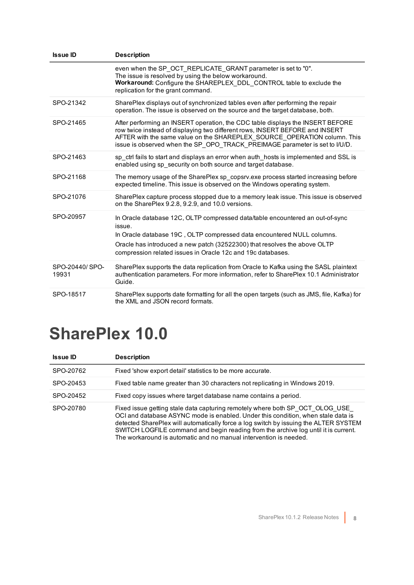| <b>Issue ID</b>         | <b>Description</b>                                                                                                                                                                                                                                                                                                        |
|-------------------------|---------------------------------------------------------------------------------------------------------------------------------------------------------------------------------------------------------------------------------------------------------------------------------------------------------------------------|
|                         | even when the SP OCT REPLICATE GRANT parameter is set to "0".<br>The issue is resolved by using the below workaround.<br>Workaround: Configure the SHAREPLEX DDL CONTROL table to exclude the<br>replication for the grant command.                                                                                       |
| SPO-21342               | SharePlex displays out of synchronized tables even after performing the repair<br>operation. The issue is observed on the source and the target database, both.                                                                                                                                                           |
| SPO-21465               | After performing an INSERT operation, the CDC table displays the INSERT BEFORE<br>row twice instead of displaying two different rows, INSERT BEFORE and INSERT<br>AFTER with the same value on the SHAREPLEX SOURCE OPERATION column. This<br>issue is observed when the SP OPO TRACK PREIMAGE parameter is set to I/U/D. |
| SPO-21463               | sp ctrl fails to start and displays an error when auth hosts is implemented and SSL is<br>enabled using sp security on both source and target database.                                                                                                                                                                   |
| SPO-21168               | The memory usage of the SharePlex sp copsrv.exe process started increasing before<br>expected timeline. This issue is observed on the Windows operating system.                                                                                                                                                           |
| SPO-21076               | SharePlex capture process stopped due to a memory leak issue. This issue is observed<br>on the SharePlex 9.2.8, 9.2.9, and 10.0 versions.                                                                                                                                                                                 |
| SPO-20957               | In Oracle database 12C, OLTP compressed data/table encountered an out-of-sync<br>issue.<br>In Oracle database 19C, OLTP compressed data encountered NULL columns.<br>Oracle has introduced a new patch (32522300) that resolves the above OLTP<br>compression related issues in Oracle 12c and 19c databases.             |
| SPO-20440/SPO-<br>19931 | SharePlex supports the data replication from Oracle to Kafka using the SASL plaintext<br>authentication parameters. For more information, refer to SharePlex 10.1 Administrator<br>Guide.                                                                                                                                 |
| SPO-18517               | SharePlex supports date formatting for all the open targets (such as JMS, file, Kafka) for<br>the XML and JSON record formats.                                                                                                                                                                                            |

## <span id="page-7-0"></span>**SharePlex 10.0**

| <b>Issue ID</b> | <b>Description</b>                                                                                                                                                                                                                                                                                                                                                                                                  |
|-----------------|---------------------------------------------------------------------------------------------------------------------------------------------------------------------------------------------------------------------------------------------------------------------------------------------------------------------------------------------------------------------------------------------------------------------|
| SPO-20762       | Fixed 'show export detail' statistics to be more accurate.                                                                                                                                                                                                                                                                                                                                                          |
| SPO-20453       | Fixed table name greater than 30 characters not replicating in Windows 2019.                                                                                                                                                                                                                                                                                                                                        |
| SPO-20452       | Fixed copy issues where target database name contains a period.                                                                                                                                                                                                                                                                                                                                                     |
| SPO-20780       | Fixed issue getting stale data capturing remotely where both SP OCT OLOG USE<br>OCI and database ASYNC mode is enabled. Under this condition, when stale data is<br>detected SharePlex will automatically force a log switch by issuing the ALTER SYSTEM<br>SWITCH LOGFILE command and begin reading from the archive log until it is current.<br>The workaround is automatic and no manual intervention is needed. |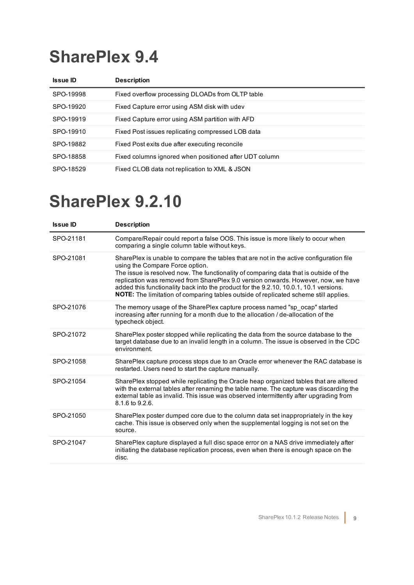<span id="page-8-0"></span>

| <b>Issue ID</b> | <b>Description</b>                                     |
|-----------------|--------------------------------------------------------|
| SPO-19998       | Fixed overflow processing DLOADs from OLTP table       |
| SPO-19920       | Fixed Capture error using ASM disk with udev           |
| SPO-19919       | Fixed Capture error using ASM partition with AFD       |
| SPO-19910       | Fixed Post issues replicating compressed LOB data      |
| SPO-19882       | Fixed Post exits due after executing reconcile         |
| SPO-18858       | Fixed columns ignored when positioned after UDT column |
| SPO-18529       | Fixed CLOB data not replication to XML & JSON          |

<span id="page-8-1"></span>

| Compare/Repair could report a false OOS. This issue is more likely to occur when                                                                                                                                                                                                                                                                                                                                                                              |
|---------------------------------------------------------------------------------------------------------------------------------------------------------------------------------------------------------------------------------------------------------------------------------------------------------------------------------------------------------------------------------------------------------------------------------------------------------------|
|                                                                                                                                                                                                                                                                                                                                                                                                                                                               |
| SharePlex is unable to compare the tables that are not in the active configuration file<br>The issue is resolved now. The functionality of comparing data that is outside of the<br>replication was removed from SharePlex 9.0 version onwards. However, now, we have<br>added this functionality back into the product for the 9.2.10, 10.0.1, 10.1 versions.<br><b>NOTE:</b> The limitation of comparing tables outside of replicated scheme still applies. |
|                                                                                                                                                                                                                                                                                                                                                                                                                                                               |
| SharePlex poster stopped while replicating the data from the source database to the<br>target database due to an invalid length in a column. The issue is observed in the CDC                                                                                                                                                                                                                                                                                 |
| SharePlex capture process stops due to an Oracle error whenever the RAC database is                                                                                                                                                                                                                                                                                                                                                                           |
| SharePlex stopped while replicating the Oracle heap organized tables that are altered<br>with the external tables after renaming the table name. The capture was discarding the<br>external table as invalid. This issue was observed intermittently after upgrading from                                                                                                                                                                                     |
| SharePlex poster dumped core due to the column data set inappropriately in the key<br>cache. This issue is observed only when the supplemental logging is not set on the                                                                                                                                                                                                                                                                                      |
| SharePlex capture displayed a full disc space error on a NAS drive immediately after<br>initiating the database replication process, even when there is enough space on the                                                                                                                                                                                                                                                                                   |
| The memory usage of the SharePlex capture process named "sp ocap" started                                                                                                                                                                                                                                                                                                                                                                                     |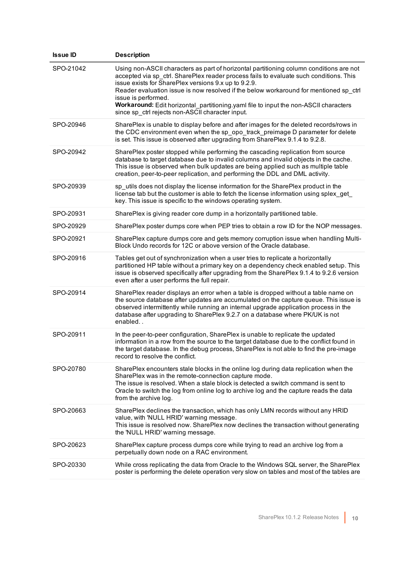| <b>Issue ID</b> | <b>Description</b>                                                                                                                                                                                                                                                                                                                                                                                                                                                                                    |
|-----------------|-------------------------------------------------------------------------------------------------------------------------------------------------------------------------------------------------------------------------------------------------------------------------------------------------------------------------------------------------------------------------------------------------------------------------------------------------------------------------------------------------------|
| SPO-21042       | Using non-ASCII characters as part of horizontal partitioning column conditions are not<br>accepted via sp ctrl. SharePlex reader process fails to evaluate such conditions. This<br>issue exists for SharePlex versions 9.x up to 9.2.9.<br>Reader evaluation issue is now resolved if the below workaround for mentioned sp_ctrl<br>issue is performed.<br>Workaround: Edit horizontal_partitioning.yaml file to input the non-ASCII characters<br>since sp_ctrl rejects non-ASCII character input. |
| SPO-20946       | SharePlex is unable to display before and after images for the deleted records/rows in<br>the CDC environment even when the sp_opo_track_preimage D parameter for delete<br>is set. This issue is observed after upgrading from SharePlex 9.1.4 to 9.2.8.                                                                                                                                                                                                                                             |
| SPO-20942       | SharePlex poster stopped while performing the cascading replication from source<br>database to target database due to invalid columns and invalid objects in the cache.<br>This issue is observed when bulk updates are being applied such as multiple table<br>creation, peer-to-peer replication, and performing the DDL and DML activity.                                                                                                                                                          |
| SPO-20939       | sp utils does not display the license information for the SharePlex product in the<br>license tab but the customer is able to fetch the license information using splex get<br>key. This issue is specific to the windows operating system.                                                                                                                                                                                                                                                           |
| SPO-20931       | SharePlex is giving reader core dump in a horizontally partitioned table.                                                                                                                                                                                                                                                                                                                                                                                                                             |
| SPO-20929       | SharePlex poster dumps core when PEP tries to obtain a row ID for the NOP messages.                                                                                                                                                                                                                                                                                                                                                                                                                   |
| SPO-20921       | SharePlex capture dumps core and gets memory corruption issue when handling Multi-<br>Block Undo records for 12C or above version of the Oracle database.                                                                                                                                                                                                                                                                                                                                             |
| SPO-20916       | Tables get out of synchronization when a user tries to replicate a horizontally<br>partitioned HP table without a primary key on a dependency check enabled setup. This<br>issue is observed specifically after upgrading from the SharePlex 9.1.4 to 9.2.6 version<br>even after a user performs the full repair.                                                                                                                                                                                    |
| SPO-20914       | SharePlex reader displays an error when a table is dropped without a table name on<br>the source database after updates are accumulated on the capture queue. This issue is<br>observed intermittently while running an internal upgrade application process in the<br>database after upgrading to SharePlex 9.2.7 on a database where PK/UK is not<br>enabled                                                                                                                                        |
| SPO-20911       | In the peer-to-peer configuration, SharePlex is unable to replicate the updated<br>information in a row from the source to the target database due to the conflict found in<br>the target database. In the debug process, SharePlex is not able to find the pre-image<br>record to resolve the conflict.                                                                                                                                                                                              |
| SPO-20780       | SharePlex encounters stale blocks in the online log during data replication when the<br>SharePlex was in the remote-connection capture mode.<br>The issue is resolved. When a stale block is detected a switch command is sent to<br>Oracle to switch the log from online log to archive log and the capture reads the data<br>from the archive log.                                                                                                                                                  |
| SPO-20663       | SharePlex declines the transaction, which has only LMN records without any HRID<br>value, with 'NULL HRID' warning message.<br>This issue is resolved now. SharePlex now declines the transaction without generating<br>the 'NULL HRID' warning message.                                                                                                                                                                                                                                              |
| SPO-20623       | SharePlex capture process dumps core while trying to read an archive log from a<br>perpetually down node on a RAC environment.                                                                                                                                                                                                                                                                                                                                                                        |
| SPO-20330       | While cross replicating the data from Oracle to the Windows SQL server, the SharePlex<br>poster is performing the delete operation very slow on tables and most of the tables are                                                                                                                                                                                                                                                                                                                     |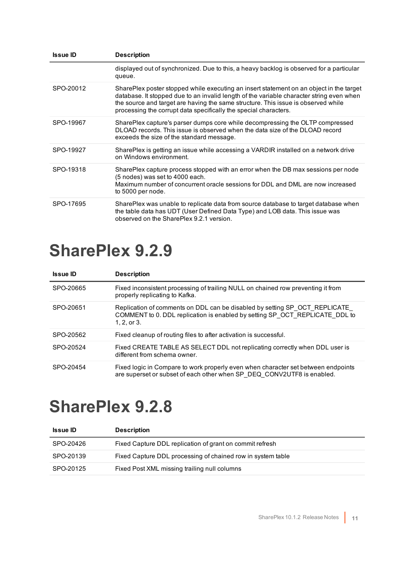| <b>Issue ID</b> | <b>Description</b>                                                                                                                                                                                                                                                                                                                           |
|-----------------|----------------------------------------------------------------------------------------------------------------------------------------------------------------------------------------------------------------------------------------------------------------------------------------------------------------------------------------------|
|                 | displayed out of synchronized. Due to this, a heavy backlog is observed for a particular<br>queue.                                                                                                                                                                                                                                           |
| SPO-20012       | SharePlex poster stopped while executing an insert statement on an object in the target<br>database. It stopped due to an invalid length of the variable character string even when<br>the source and target are having the same structure. This issue is observed while<br>processing the corrupt data specifically the special characters. |
| SPO-19967       | SharePlex capture's parser dumps core while decompressing the OLTP compressed<br>DLOAD records. This issue is observed when the data size of the DLOAD record<br>exceeds the size of the standard message.                                                                                                                                   |
| SPO-19927       | SharePlex is getting an issue while accessing a VARDIR installed on a network drive<br>on Windows environment.                                                                                                                                                                                                                               |
| SPO-19318       | SharePlex capture process stopped with an error when the DB max sessions per node<br>(5 nodes) was set to 4000 each.<br>Maximum number of concurrent oracle sessions for DDL and DML are now increased<br>to 5000 per node.                                                                                                                  |
| SPO-17695       | SharePlex was unable to replicate data from source database to target database when<br>the table data has UDT (User Defined Data Type) and LOB data. This issue was<br>observed on the SharePlex 9.2.1 version.                                                                                                                              |

<span id="page-10-0"></span>

| <b>Issue ID</b> | <b>Description</b>                                                                                                                                                           |
|-----------------|------------------------------------------------------------------------------------------------------------------------------------------------------------------------------|
| SPO-20665       | Fixed inconsistent processing of trailing NULL on chained row preventing it from<br>properly replicating to Kafka.                                                           |
| SPO-20651       | Replication of comments on DDL can be disabled by setting SP OCT REPLICATE<br>COMMENT to 0. DDL replication is enabled by setting SP OCT REPLICATE DDL to<br>$1, 2,$ or $3.$ |
| SPO-20562       | Fixed cleanup of routing files to after activation is successful.                                                                                                            |
| SPO-20524       | Fixed CREATE TABLE AS SELECT DDL not replicating correctly when DDL user is<br>different from schema owner.                                                                  |
| SPO-20454       | Fixed logic in Compare to work properly even when character set between endpoints<br>are superset or subset of each other when SP DEQ CONV2UTF8 is enabled.                  |

<span id="page-10-1"></span>

| <b>Issue ID</b> | <b>Description</b>                                          |
|-----------------|-------------------------------------------------------------|
| SPO-20426       | Fixed Capture DDL replication of grant on commit refresh    |
| SPO-20139       | Fixed Capture DDL processing of chained row in system table |
| SPO-20125       | Fixed Post XML missing trailing null columns                |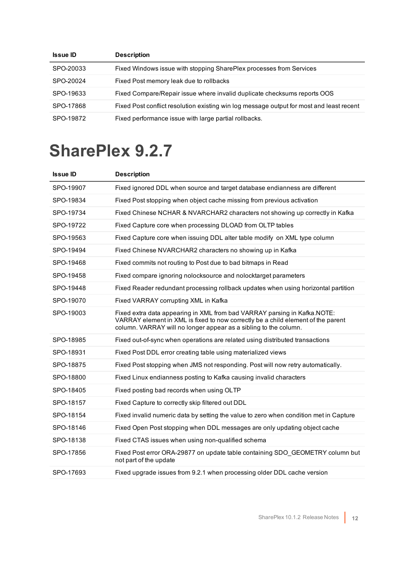| <b>Issue ID</b> | <b>Description</b>                                                                       |
|-----------------|------------------------------------------------------------------------------------------|
| SPO-20033       | Fixed Windows issue with stopping SharePlex processes from Services                      |
| SPO-20024       | Fixed Post memory leak due to rollbacks                                                  |
| SPO-19633       | Fixed Compare/Repair issue where invalid duplicate checksums reports OOS                 |
| SPO-17868       | Fixed Post conflict resolution existing win log message output for most and least recent |
| SPO-19872       | Fixed performance issue with large partial rollbacks.                                    |

<span id="page-11-0"></span>

| <b>Issue ID</b> | <b>Description</b>                                                                                                                                                                                                               |
|-----------------|----------------------------------------------------------------------------------------------------------------------------------------------------------------------------------------------------------------------------------|
| SPO-19907       | Fixed ignored DDL when source and target database endianness are different                                                                                                                                                       |
| SPO-19834       | Fixed Post stopping when object cache missing from previous activation                                                                                                                                                           |
| SPO-19734       | Fixed Chinese NCHAR & NVARCHAR2 characters not showing up correctly in Kafka                                                                                                                                                     |
| SPO-19722       | Fixed Capture core when processing DLOAD from OLTP tables                                                                                                                                                                        |
| SPO-19563       | Fixed Capture core when issuing DDL alter table modify on XML type column                                                                                                                                                        |
| SPO-19494       | Fixed Chinese NVARCHAR2 characters no showing up in Kafka                                                                                                                                                                        |
| SPO-19468       | Fixed commits not routing to Post due to bad bitmaps in Read                                                                                                                                                                     |
| SPO-19458       | Fixed compare ignoring nolocksource and nolocktarget parameters                                                                                                                                                                  |
| SPO-19448       | Fixed Reader redundant processing rollback updates when using horizontal partition                                                                                                                                               |
| SPO-19070       | Fixed VARRAY corrupting XML in Kafka                                                                                                                                                                                             |
| SPO-19003       | Fixed extra data appearing in XML from bad VARRAY parsing in Kafka.NOTE:<br>VARRAY element in XML is fixed to now correctly be a child element of the parent<br>column. VARRAY will no longer appear as a sibling to the column. |
| SPO-18985       | Fixed out-of-sync when operations are related using distributed transactions                                                                                                                                                     |
| SPO-18931       | Fixed Post DDL error creating table using materialized views                                                                                                                                                                     |
| SPO-18875       | Fixed Post stopping when JMS not responding. Post will now retry automatically.                                                                                                                                                  |
| SPO-18800       | Fixed Linux endianness posting to Kafka causing invalid characters                                                                                                                                                               |
| SPO-18405       | Fixed posting bad records when using OLTP                                                                                                                                                                                        |
| SPO-18157       | Fixed Capture to correctly skip filtered out DDL                                                                                                                                                                                 |
| SPO-18154       | Fixed invalid numeric data by setting the value to zero when condition met in Capture                                                                                                                                            |
| SPO-18146       | Fixed Open Post stopping when DDL messages are only updating object cache                                                                                                                                                        |
| SPO-18138       | Fixed CTAS issues when using non-qualified schema                                                                                                                                                                                |
| SPO-17856       | Fixed Post error ORA-29877 on update table containing SDO GEOMETRY column but<br>not part of the update                                                                                                                          |
| SPO-17693       | Fixed upgrade issues from 9.2.1 when processing older DDL cache version                                                                                                                                                          |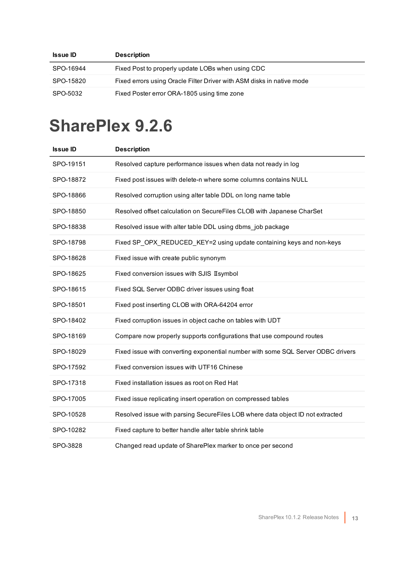| <b>Issue ID</b> | <b>Description</b>                                                    |
|-----------------|-----------------------------------------------------------------------|
| SPO-16944       | Fixed Post to properly update LOBs when using CDC                     |
| SPO-15820       | Fixed errors using Oracle Filter Driver with ASM disks in native mode |
| SPO-5032        | Fixed Poster error ORA-1805 using time zone                           |

<span id="page-12-0"></span>

| <b>Issue ID</b> | <b>Description</b>                                                               |
|-----------------|----------------------------------------------------------------------------------|
| SPO-19151       | Resolved capture performance issues when data not ready in log                   |
| SPO-18872       | Fixed post issues with delete-n where some columns contains NULL                 |
| SPO-18866       | Resolved corruption using alter table DDL on long name table                     |
| SPO-18850       | Resolved offset calculation on SecureFiles CLOB with Japanese CharSet            |
| SPO-18838       | Resolved issue with alter table DDL using dbms_job package                       |
| SPO-18798       | Fixed SP OPX REDUCED KEY=2 using update containing keys and non-keys             |
| SPO-18628       | Fixed issue with create public synonym                                           |
| SPO-18625       | Fixed conversion issues with SJIS II symbol                                      |
| SPO-18615       | Fixed SQL Server ODBC driver issues using float                                  |
| SPO-18501       | Fixed post inserting CLOB with ORA-64204 error                                   |
| SPO-18402       | Fixed corruption issues in object cache on tables with UDT                       |
| SPO-18169       | Compare now properly supports configurations that use compound routes            |
| SPO-18029       | Fixed issue with converting exponential number with some SQL Server ODBC drivers |
| SPO-17592       | Fixed conversion issues with UTF16 Chinese                                       |
| SPO-17318       | Fixed installation issues as root on Red Hat                                     |
| SPO-17005       | Fixed issue replicating insert operation on compressed tables                    |
| SPO-10528       | Resolved issue with parsing SecureFiles LOB where data object ID not extracted   |
| SPO-10282       | Fixed capture to better handle alter table shrink table                          |
| SPO-3828        | Changed read update of SharePlex marker to once per second                       |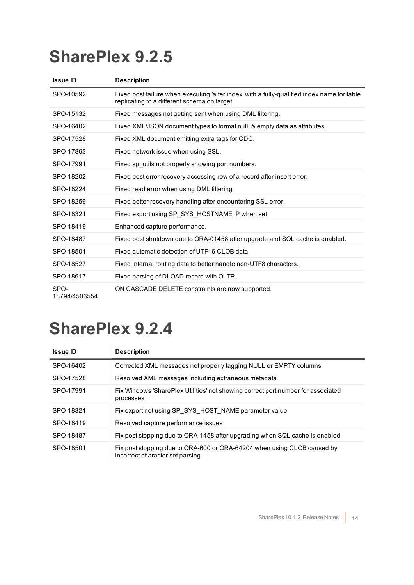<span id="page-13-0"></span>

| <b>Issue ID</b>       | <b>Description</b>                                                                                                                          |
|-----------------------|---------------------------------------------------------------------------------------------------------------------------------------------|
| SPO-10592             | Fixed post failure when executing 'alter index' with a fully-qualified index name for table<br>replicating to a different schema on target. |
| SPO-15132             | Fixed messages not getting sent when using DML filtering.                                                                                   |
| SPO-16402             | Fixed XML/JSON document types to format null & empty data as attributes.                                                                    |
| SPO-17528             | Fixed XML document emitting extra tags for CDC.                                                                                             |
| SPO-17863             | Fixed network issue when using SSL.                                                                                                         |
| SPO-17991             | Fixed sp utils not properly showing port numbers.                                                                                           |
| SPO-18202             | Fixed post error recovery accessing row of a record after insert error.                                                                     |
| SPO-18224             | Fixed read error when using DML filtering                                                                                                   |
| SPO-18259             | Fixed better recovery handling after encountering SSL error.                                                                                |
| SPO-18321             | Fixed export using SP SYS HOSTNAME IP when set                                                                                              |
| SPO-18419             | Enhanced capture performance.                                                                                                               |
| SPO-18487             | Fixed post shutdown due to ORA-01458 after upgrade and SQL cache is enabled.                                                                |
| SPO-18501             | Fixed automatic detection of UTF16 CLOB data.                                                                                               |
| SPO-18527             | Fixed internal routing data to better handle non-UTF8 characters.                                                                           |
| SPO-18617             | Fixed parsing of DLOAD record with OLTP.                                                                                                    |
| SPO-<br>18794/4506554 | ON CASCADE DELETE constraints are now supported.                                                                                            |

<span id="page-13-1"></span>

| <b>Issue ID</b> | <b>Description</b>                                                                                         |
|-----------------|------------------------------------------------------------------------------------------------------------|
| SPO-16402       | Corrected XML messages not properly tagging NULL or EMPTY columns                                          |
| SPO-17528       | Resolved XML messages including extraneous metadata                                                        |
| SPO-17991       | Fix Windows 'SharePlex Utilities' not showing correct port number for associated<br>processes              |
| SPO-18321       | Fix export not using SP_SYS_HOST_NAME parameter value                                                      |
| SPO-18419       | Resolved capture performance issues                                                                        |
| SPO-18487       | Fix post stopping due to ORA-1458 after upgrading when SQL cache is enabled                                |
| SPO-18501       | Fix post stopping due to ORA-600 or ORA-64204 when using CLOB caused by<br>incorrect character set parsing |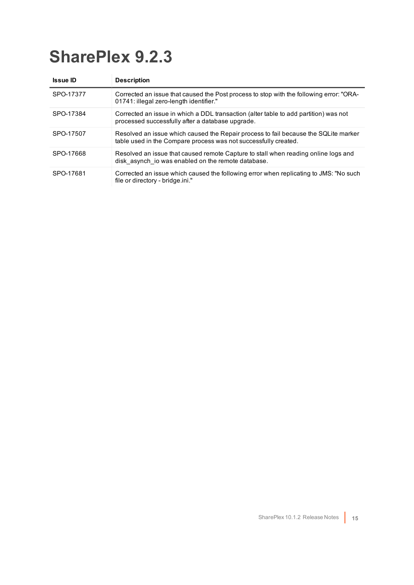<span id="page-14-0"></span>

| <b>Issue ID</b> | <b>Description</b>                                                                                                                                     |
|-----------------|--------------------------------------------------------------------------------------------------------------------------------------------------------|
| SPO-17377       | Corrected an issue that caused the Post process to stop with the following error: "ORA-<br>01741: illegal zero-length identifier."                     |
| SPO-17384       | Corrected an issue in which a DDL transaction (alter table to add partition) was not<br>processed successfully after a database upgrade.               |
| SPO-17507       | Resolved an issue which caused the Repair process to fail because the SQLite marker<br>table used in the Compare process was not successfully created. |
| SPO-17668       | Resolved an issue that caused remote Capture to stall when reading online logs and<br>disk asynch io was enabled on the remote database.               |
| SPO-17681       | Corrected an issue which caused the following error when replicating to JMS: "No such<br>file or directory - bridge ini."                              |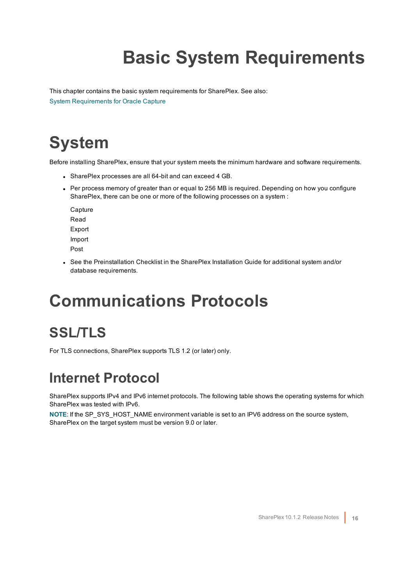# **Basic System Requirements**

<span id="page-15-0"></span>This chapter contains the basic system requirements for SharePlex. See also: System [Requirements](#page-18-0) for Oracle Capture

## <span id="page-15-1"></span>**System**

Before installing SharePlex, ensure that your system meets the minimum hardware and software requirements.

- SharePlex processes are all 64-bit and can exceed 4 GB.
- Per process memory of greater than or equal to 256 MB is required. Depending on how you configure SharePlex, there can be one or more of the following processes on a system :

**Capture** Read Export Import Post

• See the Preinstallation Checklist in the SharePlex Installation Guide for additional system and/or database requirements.

## <span id="page-15-2"></span>**Communications Protocols**

### <span id="page-15-3"></span>**SSL/TLS**

<span id="page-15-4"></span>For TLS connections, SharePlex supports TLS 1.2 (or later) only.

### **Internet Protocol**

SharePlex supports IPv4 and IPv6 internet protocols. The following table shows the operating systems for which SharePlex was tested with IPv6.

**NOTE**: If the SP\_SYS\_HOST\_NAME environment variable is set to an IPV6 address on the source system, SharePlex on the target system must be version 9.0 or later.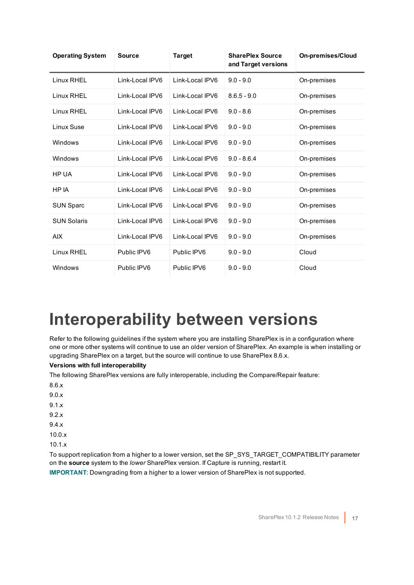| <b>Operating System</b> | <b>Source</b>   | <b>Target</b>   | <b>SharePlex Source</b><br>and Target versions | <b>On-premises/Cloud</b> |
|-------------------------|-----------------|-----------------|------------------------------------------------|--------------------------|
| Linux RHEL              | Link-Local IPV6 | Link-Local IPV6 | $9.0 - 9.0$                                    | On-premises              |
| Linux RHEL              | Link-Local IPV6 | Link-Local IPV6 | $8.6.5 - 9.0$                                  | On-premises              |
| Linux RHEL              | Link-Local IPV6 | Link-Local IPV6 | $9.0 - 8.6$                                    | On-premises              |
| Linux Suse              | Link-Local IPV6 | Link-Local IPV6 | $9.0 - 9.0$                                    | On-premises              |
| Windows                 | Link-Local IPV6 | Link-Local IPV6 | $9.0 - 9.0$                                    | On-premises              |
| Windows                 | Link-Local IPV6 | Link-Local IPV6 | $9.0 - 8.6.4$                                  | On-premises              |
| HP UA                   | Link-Local IPV6 | Link-Local IPV6 | $9.0 - 9.0$                                    | On-premises              |
| HP IA                   | Link-Local IPV6 | Link-Local IPV6 | $9.0 - 9.0$                                    | On-premises              |
| <b>SUN Sparc</b>        | Link-Local IPV6 | Link-Local IPV6 | $9.0 - 9.0$                                    | On-premises              |
| <b>SUN Solaris</b>      | Link-Local IPV6 | Link-Local IPV6 | $9.0 - 9.0$                                    | On-premises              |
| <b>AIX</b>              | Link-Local IPV6 | Link-Local IPV6 | $9.0 - 9.0$                                    | On-premises              |
| Linux RHEL              | Public IPV6     | Public IPV6     | $9.0 - 9.0$                                    | Cloud                    |
| Windows                 | Public IPV6     | Public IPV6     | $9.0 - 9.0$                                    | Cloud                    |

## <span id="page-16-0"></span>**Interoperability between versions**

Refer to the following guidelines if the system where you are installing SharePlex is in a configuration where one or more other systems will continue to use an older version of SharePlex. An example is when installing or upgrading SharePlex on a target, but the source will continue to use SharePlex 8.6.x.

### **Versions with full interoperability**

The following SharePlex versions are fully interoperable, including the Compare/Repair feature:

- 8.6.x
- 9.0.x
- 9.1.x
- 9.2.x
- 9.4.x
- 10.0.x
- 10.1.x

To support replication from a higher to a lower version, set the SP\_SYS\_TARGET\_COMPATIBILITY parameter on the **source** system to the *lower* SharePlex version. If Capture is running, restart it.

**IMPORTANT**: Downgrading from a higher to a lower version of SharePlex is not supported.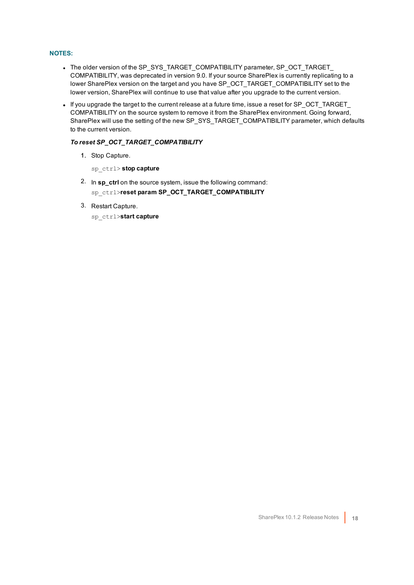#### **NOTES:**

- The older version of the SP\_SYS\_TARGET\_COMPATIBILITY parameter, SP\_OCT\_TARGET COMPATIBILITY, was deprecated in version 9.0. If your source SharePlex is currently replicating to a lower SharePlex version on the target and you have SP\_OCT\_TARGET\_COMPATIBILITY set to the lower version, SharePlex will continue to use that value after you upgrade to the current version.
- If you upgrade the target to the current release at a future time, issue a reset for SP\_OCT\_TARGET COMPATIBILITY on the source system to remove it from the SharePlex environment. Going forward, SharePlex will use the setting of the new SP\_SYS\_TARGET\_COMPATIBILITY parameter, which defaults to the current version.

#### *To reset SP\_OCT\_TARGET\_COMPATIBILITY*

- 1. Stop Capture.
	- sp\_ctrl> **stop capture**
- 2. In **sp\_ctrl** on the source system, issue the following command: sp\_ctrl>**reset param SP\_OCT\_TARGET\_COMPATIBILITY**
- 3. Restart Capture.
	- sp\_ctrl>**start capture**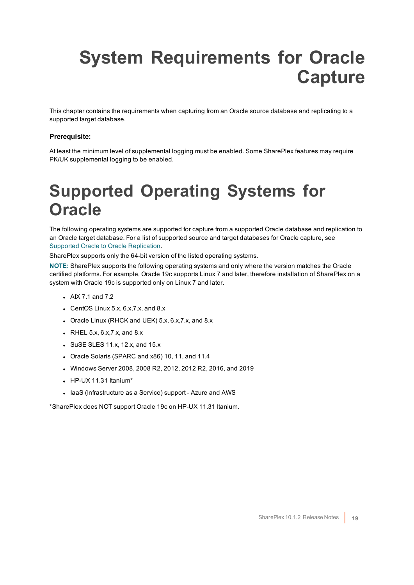## <span id="page-18-0"></span>**System Requirements for Oracle Capture**

This chapter contains the requirements when capturing from an Oracle source database and replicating to a supported target database.

#### **Prerequisite:**

<span id="page-18-1"></span>At least the minimum level of supplemental logging must be enabled. Some SharePlex features may require PK/UK supplemental logging to be enabled.

### **Supported Operating Systems for Oracle**

The following operating systems are supported for capture from a supported Oracle database and replication to an Oracle target database. For a list of supported source and target databases for Oracle capture, see Supported Oracle to Oracle [Replication](#page-20-0).

SharePlex supports only the 64-bit version of the listed operating systems.

**NOTE:** SharePlex supports the following operating systems and only where the version matches the Oracle certified platforms. For example, Oracle 19c supports Linux 7 and later, therefore installation of SharePlex on a system with Oracle 19c is supported only on Linux 7 and later.

- $\bullet$  AIX 7.1 and 7.2
- CentOS Linux  $5.x$ ,  $6.x$ ,  $7.x$ , and  $8.x$
- Oracle Linux (RHCK and UEK) 5.x, 6.x, 7.x, and 8.x
- $\bullet$  RHEL 5.x, 6.x, 7.x, and 8.x
- $\bullet$  SuSE SLES 11.x, 12.x, and 15.x
- Oracle Solaris (SPARC and x86) 10, 11, and 11.4
- $\bullet$  Windows Server 2008, 2008 R2, 2012, 2012 R2, 2016, and 2019
- $\bullet$  HP-UX 11.31 Itanium\*
- laaS (Infrastructure as a Service) support Azure and AWS

\*SharePlex does NOT support Oracle 19c on HP-UX 11.31 Itanium.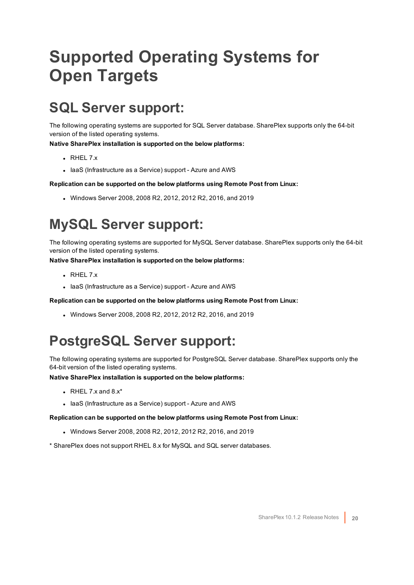## <span id="page-19-0"></span>**Supported Operating Systems for Open Targets**

### <span id="page-19-1"></span>**SQL Server support:**

The following operating systems are supported for SQL Server database. SharePlex supports only the 64-bit version of the listed operating systems.

**Native SharePlex installation is supported on the below platforms:**

- $\cdot$  RHFL 7.x
- laaS (Infrastructure as a Service) support Azure and AWS

**Replication can be supported on the below platforms using Remote Post from Linux:**

 $\bullet$  Windows Server 2008, 2008 R2, 2012, 2012 R2, 2016, and 2019

### <span id="page-19-2"></span>**MySQL Server support:**

The following operating systems are supported for MySQL Server database. SharePlex supports only the 64-bit version of the listed operating systems.

**Native SharePlex installation is supported on the below platforms:**

- $\cdot$  RHEL 7.x
- laaS (Infrastructure as a Service) support Azure and AWS

**Replication can be supported on the below platforms using Remote Post from Linux:**

 $\bullet$  Windows Server 2008, 2008 R2, 2012, 2012 R2, 2016, and 2019

### <span id="page-19-3"></span>**PostgreSQL Server support:**

The following operating systems are supported for PostgreSQL Server database. SharePlex supports only the 64-bit version of the listed operating systems.

**Native SharePlex installation is supported on the below platforms:**

- $\bullet$  RHEL 7.x and 8.x\*
- laaS (Infrastructure as a Service) support Azure and AWS

**Replication can be supported on the below platforms using Remote Post from Linux:**

- $\bullet$  Windows Server 2008, 2008 R2, 2012, 2012 R2, 2016, and 2019
- \* SharePlex does not support RHEL 8.x for MySQL and SQL server databases.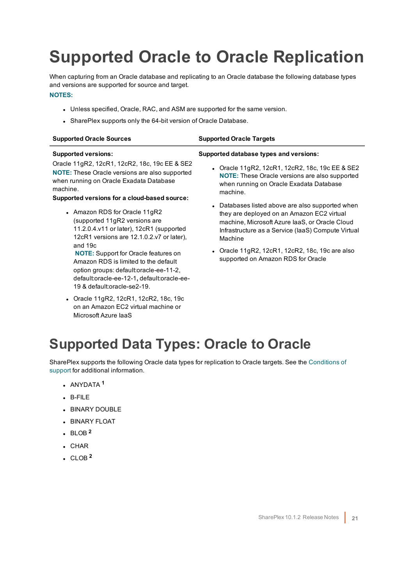## <span id="page-20-0"></span>**Supported Oracle to Oracle Replication**

When capturing from an Oracle database and replicating to an Oracle database the following database types and versions are supported for source and target.

#### **NOTES:**

- Unless specified, Oracle, RAC, and ASM are supported for the same version.
- SharePlex supports only the 64-bit version of Oracle Database.

default:oracle-ee-12-1**,** default:oracle-ee-

• Oracle 11gR2, 12cR1, 12cR2, 18c, 19c on an Amazon EC2 virtual machine or

19 & default:oracle-se2-19.

Microsoft Azure IaaS

| <b>Supported Oracle Sources</b>                                                                                                                                                                         | <b>Supported Oracle Targets</b>                                                                                                                                                                                   |  |
|---------------------------------------------------------------------------------------------------------------------------------------------------------------------------------------------------------|-------------------------------------------------------------------------------------------------------------------------------------------------------------------------------------------------------------------|--|
| <b>Supported versions:</b>                                                                                                                                                                              | Supported database types and versions:                                                                                                                                                                            |  |
| Oracle 11gR2, 12cR1, 12cR2, 18c, 19c EE & SE2<br><b>NOTE:</b> These Oracle versions are also supported<br>when running on Oracle Exadata Database<br>machine.                                           | • Oracle 11gR2, 12cR1, 12cR2, 18c, 19c EE & SE2<br><b>NOTE:</b> These Oracle versions are also supported<br>when running on Oracle Exadata Database<br>machine.                                                   |  |
| Supported versions for a cloud-based source:<br>• Amazon RDS for Oracle 11gR2<br>(supported 11gR2 versions are<br>11.2.0.4.v11 or later), 12cR1 (supported<br>12cR1 versions are 12.1.0.2.v7 or later), | • Databases listed above are also supported when<br>they are deployed on an Amazon EC2 virtual<br>machine, Microsoft Azure laaS, or Oracle Cloud<br>Infrastructure as a Service (IaaS) Compute Virtual<br>Machine |  |
| and 19c<br><b>NOTE:</b> Support for Oracle features on<br>Amazon RDS is limited to the default<br>option groups: default:oracle-ee-11-2,                                                                | • Oracle $11gR2$ , $12cR1$ , $12cR2$ , $18c$ , $19c$ are also<br>supported on Amazon RDS for Oracle                                                                                                               |  |

### <span id="page-20-1"></span>**Supported Data Types: Oracle to Oracle**

SharePlex supports the following Oracle data types for replication to Oracle targets. See the [Conditions](#page-21-0) of [support](#page-21-0) for additional information.

- <sup>l</sup> ANYDATA **<sup>1</sup>**
- $-B-FILE$
- **BINARY DOUBLE**
- **.** BINARY FLOAT
- $\cdot$  BLOB<sup>2</sup>
- $\cdot$  CHAR
- $\cdot$  CLOB<sup>2</sup>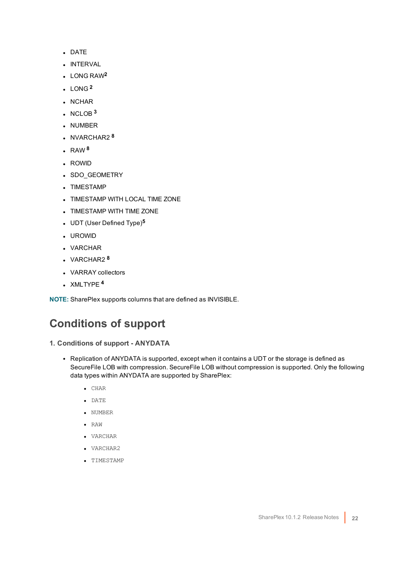- DATE
- **.** INTERVAL
- <sup>l</sup> LONG RAW**<sup>2</sup>**
- $LONG<sup>2</sup>$
- . NCHAR
- $\cdot$  NCLOB  $3$
- NUMBER
- NVARCHAR2<sup>8</sup>
- $\cdot$  RAW<sup>8</sup>
- ROWID
- SDO\_GEOMETRY
- TIMESTAMP
- TIMESTAMP WITH LOCAL TIME ZONE
- TIMESTAMP WITH TIME ZONE
- <sup>l</sup> UDT (User Defined Type)**<sup>5</sup>**
- <sup>l</sup> UROWID
- VARCHAR
- <sup>l</sup> VARCHAR2 **<sup>8</sup>**
- VARRAY collectors
- <sup>l</sup> XMLTYPE **<sup>4</sup>**

<span id="page-21-0"></span>**NOTE:** SharePlex supports columns that are defined as INVISIBLE.

### **Conditions of support**

- **1. Conditions of support - ANYDATA**
	- Replication of ANYDATA is supported, except when it contains a UDT or the storage is defined as SecureFile LOB with compression. SecureFile LOB without compression is supported. Only the following data types within ANYDATA are supported by SharePlex:
		- $\bullet$  CHAR
		- $\bullet$  DATE
		- NUMBER
		- $\bullet$  RAW
		- VARCHAR
		- VARCHAR2
		- TIMESTAMP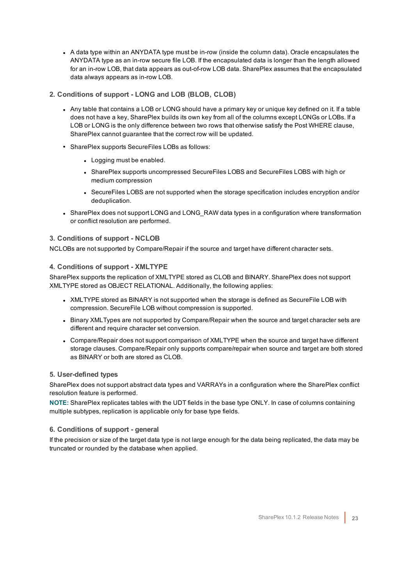- A data type within an ANYDATA type must be in-row (inside the column data). Oracle encapsulates the ANYDATA type as an in-row secure file LOB. If the encapsulated data is longer than the length allowed for an in-row LOB, that data appears as out-of-row LOB data. SharePlex assumes that the encapsulated data always appears as in-row LOB.
- **2. Conditions of support - LONG and LOB (BLOB, CLOB)**
	- Any table that contains a LOB or LONG should have a primary key or unique key defined on it. If a table does not have a key, SharePlex builds its own key from all of the columns except LONGs or LOBs. If a LOB or LONG is the only difference between two rows that otherwise satisfy the Post WHERE clause, SharePlex cannot guarantee that the correct row will be updated.
	- SharePlex supports SecureFiles LOBs as follows:
		- Logging must be enabled.
		- <sup>l</sup> SharePlex supports uncompressed SecureFiles LOBS and SecureFiles LOBS with high or medium compression
		- SecureFiles LOBS are not supported when the storage specification includes encryption and/or deduplication.
	- SharePlex does not support LONG and LONG\_RAW data types in a configuration where transformation or conflict resolution are performed.

#### **3. Conditions of support - NCLOB**

NCLOBs are not supported by Compare/Repair if the source and target have different character sets.

#### **4. Conditions of support - XMLTYPE**

SharePlex supports the replication of XMLTYPE stored as CLOB and BINARY. SharePlex does not support XMLTYPE stored as OBJECT RELATIONAL. Additionally, the following applies:

- XMLTYPE stored as BINARY is not supported when the storage is defined as SecureFile LOB with compression. SecureFile LOB without compression is supported.
- Binary XMLTypes are not supported by Compare/Repair when the source and target character sets are different and require character set conversion.
- Compare/Repair does not support comparison of XMLTYPE when the source and target have different storage clauses. Compare/Repair only supports compare/repair when source and target are both stored as BINARY or both are stored as CLOB.

#### **5. User-defined types**

SharePlex does not support abstract data types and VARRAYs in a configuration where the SharePlex conflict resolution feature is performed.

**NOTE:** SharePlex replicates tables with the UDT fields in the base type ONLY. In case of columns containing multiple subtypes, replication is applicable only for base type fields.

#### **6. Conditions of support - general**

If the precision or size of the target data type is not large enough for the data being replicated, the data may be truncated or rounded by the database when applied.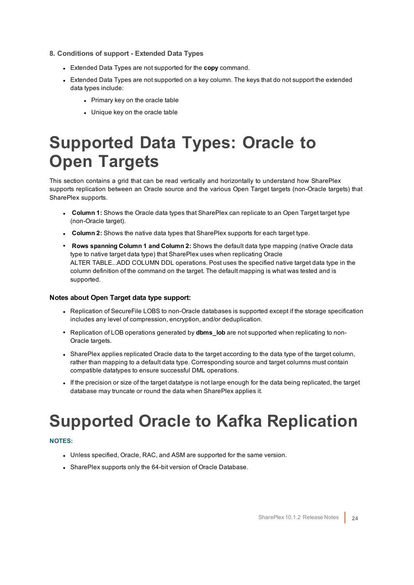- **8. Conditions of support - Extended Data Types**
	- **Extended Data Types are not supported for the copy command.**
	- Extended Data Types are not supported on a key column. The keys that do not support the extended data types include:
		- Primary key on the oracle table
		- Unique key on the oracle table

## <span id="page-23-0"></span>**Supported Data Types: Oracle to Open Targets**

This section contains a grid that can be read vertically and horizontally to understand how SharePlex supports replication between an Oracle source and the various Open Target targets (non-Oracle targets) that SharePlex supports.

- **Column 1:** Shows the Oracle data types that SharePlex can replicate to an Open Target target type (non-Oracle target).
- **Column 2:** Shows the native data types that SharePlex supports for each target type.
- <sup>l</sup> **Rows spanning Column 1 and Column 2:** Shows the default data type mapping (native Oracle data type to native target data type) that SharePlex uses when replicating Oracle ALTER TABLE...ADD COLUMN DDL operations. Post uses the specified native target data type in the column definition of the command on the target. The default mapping is what was tested and is supported.

#### **Notes about Open Target data type support:**

- Replication of SecureFile LOBS to non-Oracle databases is supported except if the storage specification includes any level of compression, encryption, and/or deduplication.
- Replication of LOB operations generated by **dbms** lob are not supported when replicating to non-Oracle targets.
- SharePlex applies replicated Oracle data to the target according to the data type of the target column, rather than mapping to a default data type. Corresponding source and target columns must contain compatible datatypes to ensure successful DML operations.
- <sup>l</sup> If the precision or size of the target datatype is not large enough for the data being replicated, the target database may truncate or round the data when SharePlex applies it.

## <span id="page-23-1"></span>**Supported Oracle to Kafka Replication**

#### **NOTES:**

- Unless specified, Oracle, RAC, and ASM are supported for the same version.
- SharePlex supports only the 64-bit version of Oracle Database.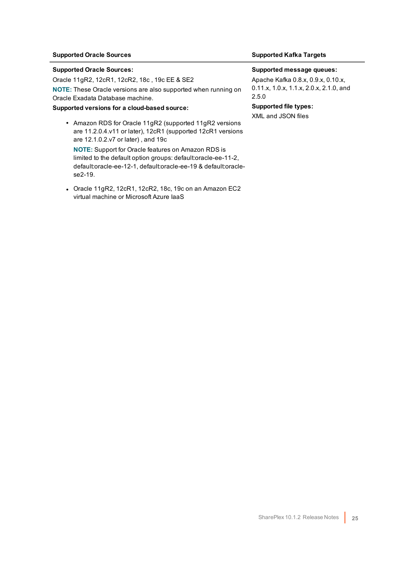### **Supported Oracle Sources Supported Kafka Targets**

#### **Supported Oracle Sources:**

Oracle 11gR2, 12cR1, 12cR2, 18c , 19c EE & SE2 **NOTE:** These Oracle versions are also supported when running on Oracle Exadata Database machine.

#### **Supported versions for a cloud-based source:**

• Amazon RDS for Oracle 11gR2 (supported 11gR2 versions are 11.2.0.4.v11 or later), 12cR1 (supported 12cR1 versions are 12.1.0.2.v7 or later) , and 19c **NOTE:** Support for Oracle features on Amazon RDS is limited to the default option groups: default:oracle-ee-11-2,

default:oracle-ee-12-1, default:oracle-ee-19 & default:oraclese2-19.

• Oracle 11gR2, 12cR1, 12cR2, 18c, 19c on an Amazon EC2 virtual machine or Microsoft Azure IaaS

#### **Supported message queues:**

Apache Kafka 0.8.x, 0.9.x, 0.10.x, 0.11.x, 1.0.x, 1.1.x, 2.0.x, 2.1.0, and 2.5.0

**Supported file types:** XML and JSON files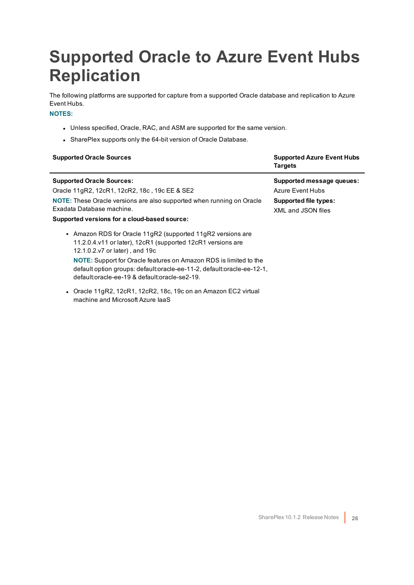## <span id="page-25-0"></span>**Supported Oracle to Azure Event Hubs Replication**

The following platforms are supported for capture from a supported Oracle database and replication to Azure Event Hubs.

#### **NOTES:**

- Unless specified, Oracle, RAC, and ASM are supported for the same version.
- SharePlex supports only the 64-bit version of Oracle Database.

| <b>Supported Oracle Sources</b>                                                                                                                                                                                                                                                                                                                                    | <b>Supported Azure Event Hubs</b><br><b>Targets</b>                                          |
|--------------------------------------------------------------------------------------------------------------------------------------------------------------------------------------------------------------------------------------------------------------------------------------------------------------------------------------------------------------------|----------------------------------------------------------------------------------------------|
| <b>Supported Oracle Sources:</b><br>Oracle 11gR2, 12cR1, 12cR2, 18c, 19c EE & SE2<br>NOTE: These Oracle versions are also supported when running on Oracle<br>Exadata Database machine.<br>Supported versions for a cloud-based source:                                                                                                                            | Supported message queues:<br>Azure Event Hubs<br>Supported file types:<br>XMI and JSON files |
| • Amazon RDS for Oracle 11gR2 (supported 11gR2 versions are<br>11.2.0.4.v11 or later), 12cR1 (supported 12cR1 versions are<br>12.1.0.2.v7 or later), and 19c<br><b>NOTE:</b> Support for Oracle features on Amazon RDS is limited to the<br>default option groups: default:oracle-ee-11-2, default:oracle-ee-12-1,<br>default:oracle-ee-19 & default:oracle-se2-19 |                                                                                              |

• Oracle 11gR2, 12cR1, 12cR2, 18c, 19c on an Amazon EC2 virtual machine and Microsoft Azure IaaS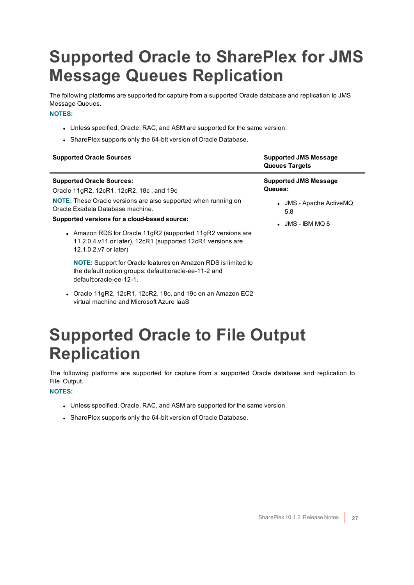## <span id="page-26-0"></span>**Supported Oracle to SharePlex for JMS Message Queues Replication**

The following platforms are supported for capture from a supported Oracle database and replication to JMS Message Queues.

#### **NOTES:**

- Unless specified, Oracle, RAC, and ASM are supported for the same version.
- SharePlex supports only the 64-bit version of Oracle Database.

| <b>Supported Oracle Sources</b>                                                                                                                     | <b>Supported JMS Message</b><br><b>Queues Targets</b> |
|-----------------------------------------------------------------------------------------------------------------------------------------------------|-------------------------------------------------------|
| <b>Supported Oracle Sources:</b><br>Oracle 11gR2, 12cR1, 12cR2, 18c, and 19c                                                                        | <b>Supported JMS Message</b><br>Queues:               |
| NOTE: These Oracle versions are also supported when running on<br>Oracle Exadata Database machine.<br>Supported versions for a cloud-based source:  | • JMS - Apache ActiveMQ<br>5.8                        |
| • Amazon RDS for Oracle 11gR2 (supported 11gR2 versions are<br>11.2.0.4.v11 or later), 12cR1 (supported 12cR1 versions are<br>12.1.0.2.v7 or later) | $\bullet$ JMS - IBM MQ 8                              |
| NOTE: Support for Oracle features on Amazon RDS is limited to<br>the default option groups: default:oracle-ee-11-2 and<br>default:oracle-ee-12-1.   |                                                       |

• Oracle 11gR2, 12cR1, 12cR2, 18c, and 19c on an Amazon EC2 virtual machine and Microsoft Azure IaaS

## <span id="page-26-1"></span>**Supported Oracle to File Output Replication**

The following platforms are supported for capture from a supported Oracle database and replication to File Output.

#### **NOTES:**

- Unless specified, Oracle, RAC, and ASM are supported for the same version.
- SharePlex supports only the 64-bit version of Oracle Database.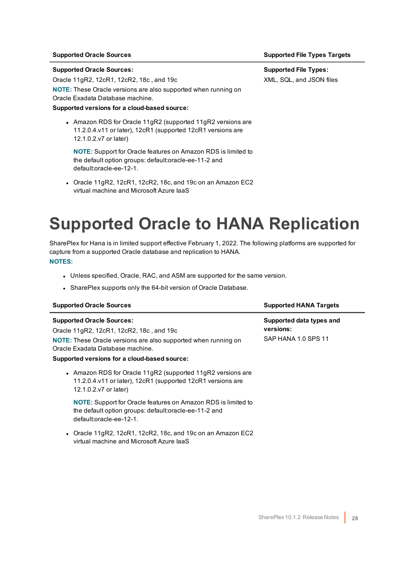#### **Supported Oracle Sources:**

Oracle 11gR2, 12cR1, 12cR2, 18c , and 19c

**NOTE:** These Oracle versions are also supported when running on Oracle Exadata Database machine.

#### **Supported versions for a cloud-based source:**

• Amazon RDS for Oracle 11gR2 (supported 11gR2 versions are 11.2.0.4.v11 or later), 12cR1 (supported 12cR1 versions are 12.1.0.2.v7 or later)

**NOTE:** Support for Oracle features on Amazon RDS is limited to the default option groups: default:oracle-ee-11-2 and default:oracle-ee-12-1.

• Oracle 11gR2, 12cR1, 12cR2, 18c, and 19c on an Amazon EC2 virtual machine and Microsoft Azure IaaS

### <span id="page-27-0"></span>**Supported Oracle to HANA Replication**

SharePlex for Hana is in limited support effective February 1, 2022. The following platforms are supported for capture from a supported Oracle database and replication to HANA. **NOTES:**

- Unless specified, Oracle, RAC, and ASM are supported for the same version.
- SharePlex supports only the 64-bit version of Oracle Database.

| <b>Supported Oracle Sources</b>                                                                                                                                                                                                           | <b>Supported HANA Targets</b>                                |
|-------------------------------------------------------------------------------------------------------------------------------------------------------------------------------------------------------------------------------------------|--------------------------------------------------------------|
| <b>Supported Oracle Sources:</b><br>Oracle 11gR2, 12cR1, 12cR2, 18c, and 19c<br><b>NOTE:</b> These Oracle versions are also supported when running on<br>Oracle Exadata Database machine.<br>Supported versions for a cloud-based source: | Supported data types and<br>versions:<br>SAP HANA 1.0 SPS 11 |
| • Amazon RDS for Oracle 11gR2 (supported 11gR2 versions are<br>11.2.0.4.v11 or later), 12cR1 (supported 12cR1 versions are<br>12.1.0.2.v7 or later)                                                                                       |                                                              |
| <b>NOTE:</b> Support for Oracle features on Amazon RDS is limited to<br>the default option groups: default:oracle-ee-11-2 and<br>default:oracle-ee-12-1.                                                                                  |                                                              |
| • Oracle 11gR2, 12cR1, 12cR2, 18c, and 19c on an Amazon EC2<br>virtual machine and Microsoft Azure laaS                                                                                                                                   |                                                              |

#### **Supported Oracle Sources Supported File Types Targets**

**Supported File Types:** XML, SQL, and JSON files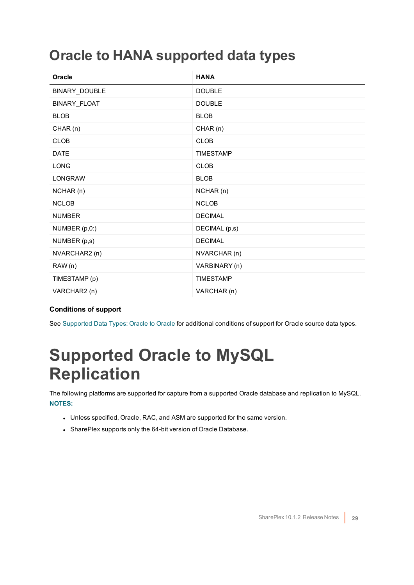### <span id="page-28-0"></span>**Oracle to HANA supported data types**

| <b>Oracle</b>  | <b>HANA</b>      |
|----------------|------------------|
| BINARY_DOUBLE  | <b>DOUBLE</b>    |
| BINARY_FLOAT   | <b>DOUBLE</b>    |
| <b>BLOB</b>    | <b>BLOB</b>      |
| CHAR (n)       | CHAR (n)         |
| <b>CLOB</b>    | <b>CLOB</b>      |
| <b>DATE</b>    | <b>TIMESTAMP</b> |
| <b>LONG</b>    | <b>CLOB</b>      |
| <b>LONGRAW</b> | <b>BLOB</b>      |
| NCHAR (n)      | NCHAR (n)        |
| <b>NCLOB</b>   | <b>NCLOB</b>     |
| <b>NUMBER</b>  | <b>DECIMAL</b>   |
| NUMBER (p,0:)  | DECIMAL (p,s)    |
| NUMBER (p,s)   | <b>DECIMAL</b>   |
| NVARCHAR2 (n)  | NVARCHAR (n)     |
| RAW(n)         | VARBINARY (n)    |
| TIMESTAMP (p)  | <b>TIMESTAMP</b> |
| VARCHAR2 (n)   | VARCHAR (n)      |

### **Conditions of support**

<span id="page-28-1"></span>See [Supported](#page-20-1) Data Types: Oracle to Oracle for additional conditions of support for Oracle source data types.

### **Supported Oracle to MySQL Replication**

The following platforms are supported for capture from a supported Oracle database and replication to MySQL. **NOTES:**

- Unless specified, Oracle, RAC, and ASM are supported for the same version.
- SharePlex supports only the 64-bit version of Oracle Database.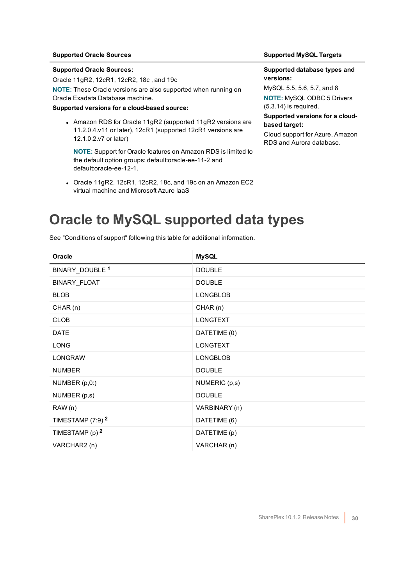#### **Supported Oracle Sources:**

Oracle 11gR2, 12cR1, 12cR2, 18c , and 19c

**NOTE:** These Oracle versions are also supported when running on Oracle Exadata Database machine.

#### **Supported versions for a cloud-based source:**

• Amazon RDS for Oracle 11gR2 (supported 11gR2 versions are 11.2.0.4.v11 or later), 12cR1 (supported 12cR1 versions are 12.1.0.2.v7 or later)

**NOTE:** Support for Oracle features on Amazon RDS is limited to the default option groups: default:oracle-ee-11-2 and default:oracle-ee-12-1.

• Oracle 11gR2, 12cR1, 12cR2, 18c, and 19c on an Amazon EC2 virtual machine and Microsoft Azure IaaS

#### **Supported Oracle Sources Supported MySQL Targets**

#### **Supported database types and versions:**

MySQL 5.5, 5.6, 5.7, and 8 **NOTE:** MySQL ODBC 5 Drivers (5.3.14) is required.

#### **Supported versions for a cloudbased target:**

Cloud support for Azure, Amazon RDS and Aurora database.

### <span id="page-29-0"></span>**Oracle to MySQL supported data types**

| Oracle                         | <b>MySQL</b>    |
|--------------------------------|-----------------|
| BINARY_DOUBLE <sup>1</sup>     | <b>DOUBLE</b>   |
| BINARY_FLOAT                   | <b>DOUBLE</b>   |
| <b>BLOB</b>                    | <b>LONGBLOB</b> |
| CHAR(n)                        | CHAR(n)         |
| <b>CLOB</b>                    | <b>LONGTEXT</b> |
| <b>DATE</b>                    | DATETIME (0)    |
| <b>LONG</b>                    | <b>LONGTEXT</b> |
| <b>LONGRAW</b>                 | <b>LONGBLOB</b> |
| <b>NUMBER</b>                  | <b>DOUBLE</b>   |
| NUMBER (p,0:)                  | NUMERIC (p,s)   |
| NUMBER (p,s)                   | <b>DOUBLE</b>   |
| RAW (n)                        | VARBINARY (n)   |
| TIMESTAMP $(7:9)$ <sup>2</sup> | DATETIME (6)    |
| TIMESTAMP (p) 2                | DATETIME (p)    |
| VARCHAR2 (n)                   | VARCHAR (n)     |

See "Conditions of support" following this table for additional information.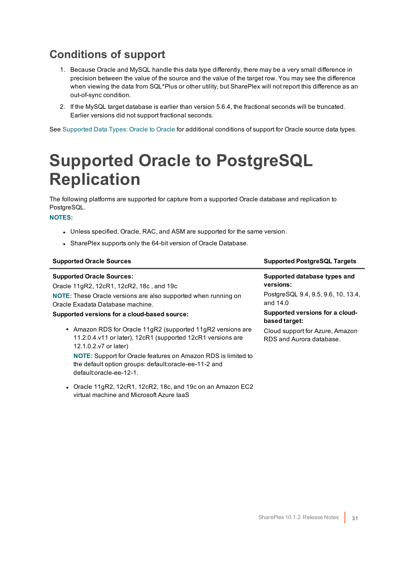- <span id="page-30-0"></span>1. Because Oracle and MySQL handle this data type differently, there may be a very small difference in precision between the value of the source and the value of the target row. You may see the difference when viewing the data from SQL\*Plus or other utility, but SharePlex will not report this difference as an out-of-sync condition.
- 2. If the MySQL target database is earlier than version 5.6.4, the fractional seconds will be truncated. Earlier versions did not support fractional seconds.

<span id="page-30-1"></span>See [Supported](#page-20-1) Data Types: Oracle to Oracle for additional conditions of support for Oracle source data types.

### **Supported Oracle to PostgreSQL Replication**

The following platforms are supported for capture from a supported Oracle database and replication to PostgreSQL.

### **NOTES:**

- Unless specified, Oracle, RAC, and ASM are supported for the same version.
- SharePlex supports only the 64-bit version of Oracle Database.

virtual machine and Microsoft Azure IaaS

| <b>Supported Oracle Sources</b>                                                                                                                          | <b>Supported PostgreSQL Targets</b>                         |
|----------------------------------------------------------------------------------------------------------------------------------------------------------|-------------------------------------------------------------|
| <b>Supported Oracle Sources:</b><br>Oracle 11gR2, 12cR1, 12cR2, 18c, and 19c                                                                             | Supported database types and<br>versions:                   |
| <b>NOTE:</b> These Oracle versions are also supported when running on<br>Oracle Exadata Database machine.                                                | PostgreSQL 9.4, 9.5, 9.6, 10, 13.4,<br>and 14.0             |
| Supported versions for a cloud-based source:                                                                                                             | Supported versions for a cloud-<br>based target:            |
| • Amazon RDS for Oracle 11gR2 (supported 11gR2 versions are<br>11.2.0.4.v11 or later), 12cR1 (supported 12cR1 versions are<br>12.1.0.2.v7 or later)      | Cloud support for Azure, Amazon<br>RDS and Aurora database. |
| <b>NOTE:</b> Support for Oracle features on Amazon RDS is limited to<br>the default option groups: default:oracle-ee-11-2 and<br>default:oracle-ee-12-1. |                                                             |
| • Oracle 11qR2, 12cR1, 12cR2, 18c, and 19c on an Amazon EC2                                                                                              |                                                             |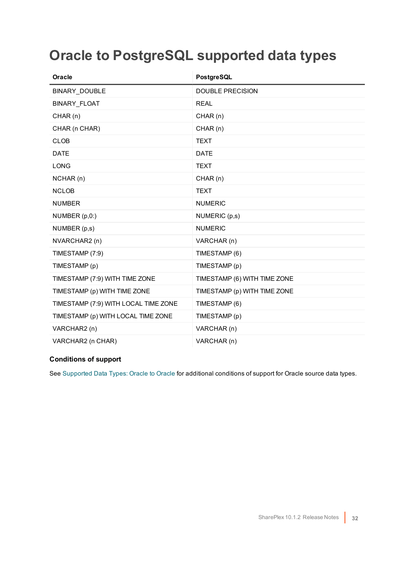### <span id="page-31-0"></span>**Oracle to PostgreSQL supported data types**

| Oracle                               | PostgreSQL                   |
|--------------------------------------|------------------------------|
| BINARY_DOUBLE                        | <b>DOUBLE PRECISION</b>      |
| <b>BINARY FLOAT</b>                  | <b>REAL</b>                  |
| CHAR(n)                              | CHAR(n)                      |
| CHAR (n CHAR)                        | CHAR(n)                      |
| <b>CLOB</b>                          | <b>TEXT</b>                  |
| <b>DATE</b>                          | <b>DATE</b>                  |
| <b>LONG</b>                          | <b>TEXT</b>                  |
| NCHAR (n)                            | CHAR(n)                      |
| <b>NCLOB</b>                         | <b>TEXT</b>                  |
| <b>NUMBER</b>                        | <b>NUMERIC</b>               |
| NUMBER (p,0:)                        | NUMERIC (p,s)                |
| NUMBER (p,s)                         | <b>NUMERIC</b>               |
| NVARCHAR2 (n)                        | VARCHAR (n)                  |
| TIMESTAMP (7:9)                      | TIMESTAMP (6)                |
| TIMESTAMP (p)                        | TIMESTAMP (p)                |
| TIMESTAMP (7:9) WITH TIME ZONE       | TIMESTAMP (6) WITH TIME ZONE |
| TIMESTAMP (p) WITH TIME ZONE         | TIMESTAMP (p) WITH TIME ZONE |
| TIMESTAMP (7:9) WITH LOCAL TIME ZONE | TIMESTAMP (6)                |
| TIMESTAMP (p) WITH LOCAL TIME ZONE   | TIMESTAMP (p)                |
| VARCHAR2 (n)                         | VARCHAR (n)                  |
| VARCHAR2 (n CHAR)                    | VARCHAR (n)                  |

### **Conditions of support**

See [Supported](#page-20-1) Data Types: Oracle to Oracle for additional conditions of support for Oracle source data types.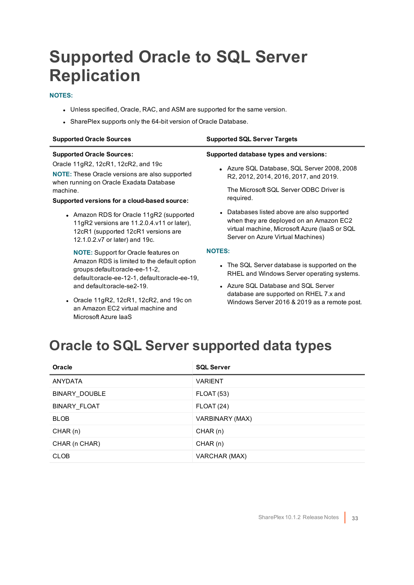## <span id="page-32-0"></span>**Supported Oracle to SQL Server Replication**

### **NOTES:**

- Unless specified, Oracle, RAC, and ASM are supported for the same version.
- SharePlex supports only the 64-bit version of Oracle Database.

| <b>Supported Oracle Sources</b>                                                                                                                                 | <b>Supported SQL Server Targets</b>                                                                                                                                          |
|-----------------------------------------------------------------------------------------------------------------------------------------------------------------|------------------------------------------------------------------------------------------------------------------------------------------------------------------------------|
| <b>Supported Oracle Sources:</b>                                                                                                                                | Supported database types and versions:                                                                                                                                       |
| Oracle 11gR2, 12cR1, 12cR2, and 19c<br><b>NOTE:</b> These Oracle versions are also supported<br>when running on Oracle Exadata Database                         | • Azure SQL Database, SQL Server 2008, 2008<br>R2, 2012, 2014, 2016, 2017, and 2019.                                                                                         |
| machine.<br>Supported versions for a cloud-based source:                                                                                                        | The Microsoft SQL Server ODBC Driver is<br>required.                                                                                                                         |
| • Amazon RDS for Oracle 11gR2 (supported<br>11gR2 versions are 11.2.0.4.v11 or later),<br>12cR1 (supported 12cR1 versions are<br>12.1.0.2.v7 or later) and 19c. | • Databases listed above are also supported<br>when they are deployed on an Amazon EC2<br>virtual machine, Microsoft Azure (laaS or SQL<br>Server on Azure Virtual Machines) |
| <b>NOTE:</b> Support for Oracle features on                                                                                                                     | <b>NOTES:</b>                                                                                                                                                                |
| Amazon RDS is limited to the default option<br>groups: default: oracle-ee-11-2,<br>default:oracle-ee-12-1, default:oracle-ee-19,                                | • The SQL Server database is supported on the<br>RHEL and Windows Server operating systems.                                                                                  |
| and default:oracle-se2-19.                                                                                                                                      | • Azure SQL Database and SQL Server<br>database are supported on RHEL 7.x and                                                                                                |
|                                                                                                                                                                 |                                                                                                                                                                              |

- Oracle 11gR2, 12cR1, 12cR2, and 19c on an Amazon EC2 virtual machine and Microsoft Azure IaaS
- Windows Server 2016 & 2019 as a remote post.

### <span id="page-32-1"></span>**Oracle to SQL Server supported data types**

| Oracle         | <b>SQL Server</b> |
|----------------|-------------------|
| <b>ANYDATA</b> | <b>VARIENT</b>    |
| BINARY_DOUBLE  | <b>FLOAT (53)</b> |
| BINARY FLOAT   | <b>FLOAT (24)</b> |
| <b>BLOB</b>    | VARBINARY (MAX)   |
| CHAR(n)        | CHAR(n)           |
| CHAR (n CHAR)  | CHAR(n)           |
| <b>CLOB</b>    | VARCHAR (MAX)     |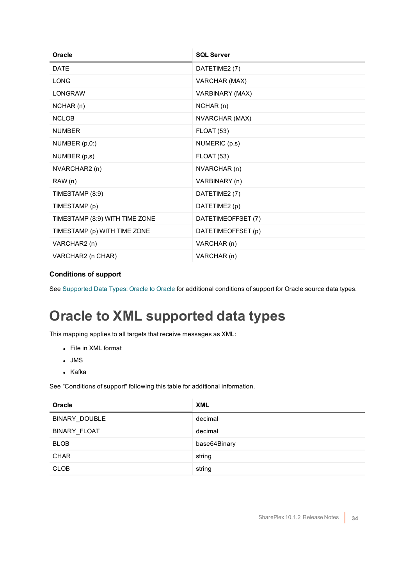| Oracle                         | <b>SQL Server</b>  |
|--------------------------------|--------------------|
| <b>DATE</b>                    | DATETIME2 (7)      |
| <b>LONG</b>                    | VARCHAR (MAX)      |
| <b>LONGRAW</b>                 | VARBINARY (MAX)    |
| NCHAR(n)                       | NCHAR(n)           |
| <b>NCLOB</b>                   | NVARCHAR (MAX)     |
| <b>NUMBER</b>                  | <b>FLOAT (53)</b>  |
| NUMBER (p,0:)                  | NUMERIC (p,s)      |
| NUMBER (p,s)                   | <b>FLOAT (53)</b>  |
| NVARCHAR2 (n)                  | NVARCHAR (n)       |
| RAW(n)                         | VARBINARY (n)      |
| TIMESTAMP (8:9)                | DATETIME2 (7)      |
| TIMESTAMP (p)                  | DATETIME2 (p)      |
| TIMESTAMP (8:9) WITH TIME ZONE | DATETIMEOFFSET (7) |
| TIMESTAMP (p) WITH TIME ZONE   | DATETIMEOFFSET (p) |
| VARCHAR2 (n)                   | VARCHAR (n)        |
| VARCHAR2 (n CHAR)              | VARCHAR (n)        |

<span id="page-33-0"></span>See [Supported](#page-20-1) Data Types: Oracle to Oracle for additional conditions of support for Oracle source data types.

### **Oracle to XML supported data types**

This mapping applies to all targets that receive messages as XML:

- File in XML format
- $\blacksquare$  JMS
- Kafka

See "Conditions of support" following this table for additional information.

| Oracle               | <b>XML</b>   |
|----------------------|--------------|
| <b>BINARY DOUBLE</b> | decimal      |
| <b>BINARY FLOAT</b>  | decimal      |
| <b>BLOB</b>          | base64Binary |
| <b>CHAR</b>          | string       |
| <b>CLOB</b>          | string       |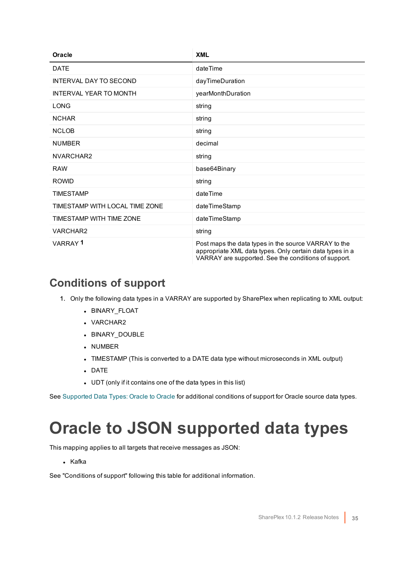| Oracle                         | <b>XML</b>                                                                                                                                                               |
|--------------------------------|--------------------------------------------------------------------------------------------------------------------------------------------------------------------------|
| <b>DATE</b>                    | dateTime                                                                                                                                                                 |
| <b>INTERVAL DAY TO SECOND</b>  | dayTimeDuration                                                                                                                                                          |
| <b>INTERVAL YEAR TO MONTH</b>  | yearMonthDuration                                                                                                                                                        |
| LONG                           | string                                                                                                                                                                   |
| <b>NCHAR</b>                   | string                                                                                                                                                                   |
| <b>NCLOB</b>                   | string                                                                                                                                                                   |
| <b>NUMBER</b>                  | decimal                                                                                                                                                                  |
| NVARCHAR2                      | string                                                                                                                                                                   |
| <b>RAW</b>                     | base64Binary                                                                                                                                                             |
| <b>ROWID</b>                   | string                                                                                                                                                                   |
| <b>TIMESTAMP</b>               | dateTime                                                                                                                                                                 |
| TIMESTAMP WITH LOCAL TIME ZONE | dateTimeStamp                                                                                                                                                            |
| TIMESTAMP WITH TIME ZONE       | dateTimeStamp                                                                                                                                                            |
| VARCHAR2                       | string                                                                                                                                                                   |
| VARRAY <sup>1</sup>            | Post maps the data types in the source VARRAY to the<br>appropriate XML data types. Only certain data types in a<br>VARRAY are supported. See the conditions of support. |

- <span id="page-34-0"></span>1. Only the following data types in a VARRAY are supported by SharePlex when replicating to XML output:
	- BINARY\_FLOAT
	- VARCHAR2
	- BINARY\_DOUBLE
	- NUMBER
	- TIMESTAMP (This is converted to a DATE data type without microseconds in XML output)
	- <sup>l</sup> DATE
	- UDT (only if it contains one of the data types in this list)

<span id="page-34-1"></span>See [Supported](#page-20-1) Data Types: Oracle to Oracle for additional conditions of support for Oracle source data types.

## **Oracle to JSON supported data types**

This mapping applies to all targets that receive messages as JSON:

• Kafka

See "Conditions of support" following this table for additional information.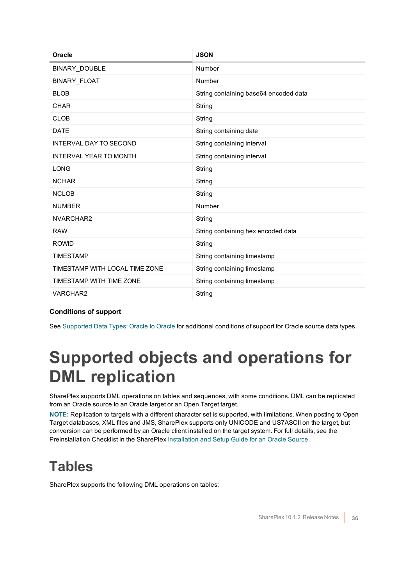| Oracle                         | <b>JSON</b>                           |
|--------------------------------|---------------------------------------|
| BINARY_DOUBLE                  | Number                                |
| <b>BINARY FLOAT</b>            | Number                                |
| <b>BLOB</b>                    | String containing base64 encoded data |
| <b>CHAR</b>                    | String                                |
| <b>CLOB</b>                    | String                                |
| <b>DATE</b>                    | String containing date                |
| <b>INTERVAL DAY TO SECOND</b>  | String containing interval            |
| <b>INTERVAL YEAR TO MONTH</b>  | String containing interval            |
| <b>LONG</b>                    | String                                |
| <b>NCHAR</b>                   | String                                |
| <b>NCLOB</b>                   | String                                |
| <b>NUMBER</b>                  | Number                                |
| NVARCHAR2                      | String                                |
| <b>RAW</b>                     | String containing hex encoded data    |
| <b>ROWID</b>                   | String                                |
| <b>TIMESTAMP</b>               | String containing timestamp           |
| TIMESTAMP WITH LOCAL TIME ZONE | String containing timestamp           |
| TIMESTAMP WITH TIME ZONE       | String containing timestamp           |
| VARCHAR2                       | String                                |

<span id="page-35-0"></span>See [Supported](#page-20-1) Data Types: Oracle to Oracle for additional conditions of support for Oracle source data types.

### **Supported objects and operations for DML replication**

SharePlex supports DML operations on tables and sequences, with some conditions. DML can be replicated from an Oracle source to an Oracle target or an Open Target target.

**NOTE:** Replication to targets with a different character set is supported, with limitations. When posting to Open Target databases, XML files and JMS, SharePlex supports only UNICODE and US7ASCII on the target, but conversion can be performed by an Oracle client installed on the target system. For full details, see the Preinstallation Checklist in the SharePlex [Installation](https://support.quest.com/shareplex) and Setup Guide for an Oracle Source.

### <span id="page-35-1"></span>**Tables**

SharePlex supports the following DML operations on tables: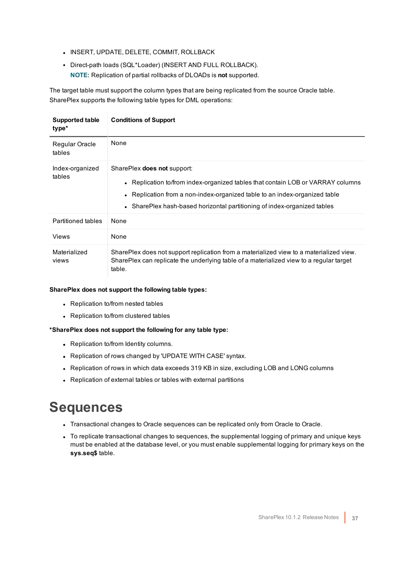- **.** INSERT, UPDATE, DELETE, COMMIT, ROLLBACK
- Direct-path loads (SQL\*Loader) (INSERT AND FULL ROLLBACK). **NOTE:** Replication of partial rollbacks of DLOADs is **not** supported.

The target table must support the column types that are being replicated from the source Oracle table. SharePlex supports the following table types for DML operations:

| Supported table<br>type*  | <b>Conditions of Support</b>                                                                                                                                                                                                                                                    |
|---------------------------|---------------------------------------------------------------------------------------------------------------------------------------------------------------------------------------------------------------------------------------------------------------------------------|
| Regular Oracle<br>tables  | None                                                                                                                                                                                                                                                                            |
| Index-organized<br>tables | SharePlex <b>does not</b> support:<br>• Replication to/from index-organized tables that contain LOB or VARRAY columns<br>• Replication from a non-index-organized table to an index-organized table<br>• SharePlex hash-based horizontal partitioning of index-organized tables |
| <b>Partitioned tables</b> | None                                                                                                                                                                                                                                                                            |
| Views                     | None                                                                                                                                                                                                                                                                            |
| Materialized<br>views     | SharePlex does not support replication from a materialized view to a materialized view.<br>SharePlex can replicate the underlying table of a materialized view to a regular target<br>table.                                                                                    |

#### **SharePlex does not support the following table types:**

- Replication to/from nested tables
- Replication to/from clustered tables

#### **\*SharePlex does not support the following for any table type:**

- Replication to/from Identity columns.
- Replication of rows changed by 'UPDATE WITH CASE' syntax.
- Replication of rows in which data exceeds 319 KB in size, excluding LOB and LONG columns
- <span id="page-36-0"></span>• Replication of external tables or tables with external partitions

### **Sequences**

- Transactional changes to Oracle sequences can be replicated only from Oracle to Oracle.
- To replicate transactional changes to sequences, the supplemental logging of primary and unique keys must be enabled at the database level, or you must enable supplemental logging for primary keys on the **sys.seq\$** table.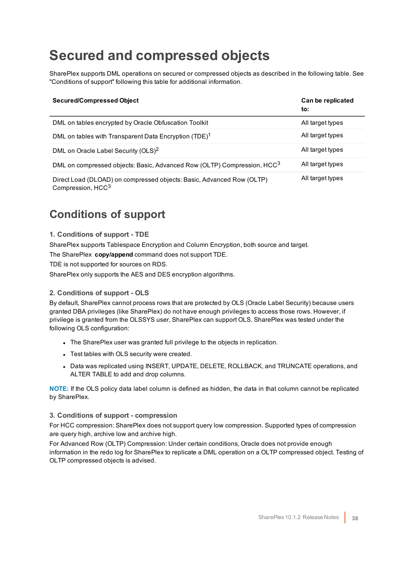### <span id="page-37-0"></span>**Secured and compressed objects**

SharePlex supports DML operations on secured or compressed objects as described in the following table. See "Conditions of support" following this table for additional information.

| <b>Secured/Compressed Object</b>                                                                       | Can be replicated<br>to: |
|--------------------------------------------------------------------------------------------------------|--------------------------|
| DML on tables encrypted by Oracle Obfuscation Toolkit                                                  | All target types         |
| DML on tables with Transparent Data Encryption (TDE) <sup>1</sup>                                      | All target types         |
| DML on Oracle Label Security (OLS) <sup>2</sup>                                                        | All target types         |
| DML on compressed objects: Basic, Advanced Row (OLTP) Compression, HCC <sup>3</sup>                    | All target types         |
| Direct Load (DLOAD) on compressed objects: Basic, Advanced Row (OLTP)<br>Compression, HCC <sup>3</sup> | All target types         |

### <span id="page-37-1"></span>**Conditions of support**

### **1. Conditions of support - TDE**

SharePlex supports Tablespace Encryption and Column Encryption, both source and target.

The SharePlex **copy/append** command does not support TDE.

TDE is not supported for sources on RDS.

SharePlex only supports the AES and DES encryption algorithms.

#### **2. Conditions of support - OLS**

By default, SharePlex cannot process rows that are protected by OLS (Oracle Label Security) because users granted DBA privileges (like SharePlex) do not have enough privileges to access those rows. However, if privilege is granted from the OLSSYS user, SharePlex can support OLS. SharePlex was tested under the following OLS configuration:

- The SharePlex user was granted full privilege to the objects in replication.
- Test tables with OLS security were created.
- Data was replicated using INSERT, UPDATE, DELETE, ROLLBACK, and TRUNCATE operations, and ALTER TABLE to add and drop columns.

**NOTE:** If the OLS policy data label column is defined as hidden, the data in that column cannot be replicated by SharePlex.

#### **3. Conditions of support - compression**

For HCC compression: SharePlex does not support query low compression. Supported types of compression are query high, archive low and archive high.

For Advanced Row (OLTP) Compression: Under certain conditions, Oracle does not provide enough information in the redo log for SharePlex to replicate a DML operation on a OLTP compressed object. Testing of OLTP compressed objects is advised.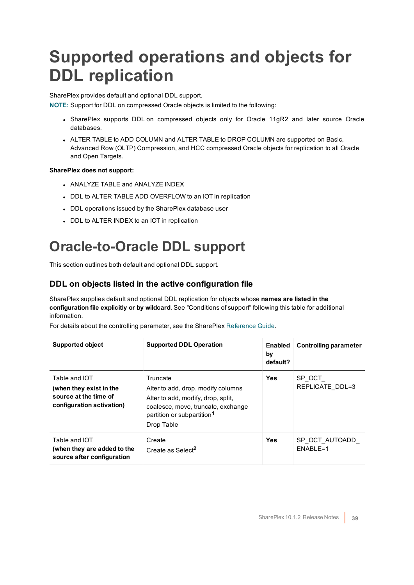## <span id="page-38-0"></span>**Supported operations and objects for DDL replication**

SharePlex provides default and optional DDL support.

**NOTE:** Support for DDL on compressed Oracle objects is limited to the following:

- SharePlex supports DDL on compressed objects only for Oracle 11gR2 and later source Oracle databases.
- ALTER TABLE to ADD COLUMN and ALTER TABLE to DROP COLUMN are supported on Basic, Advanced Row (OLTP) Compression, and HCC compressed Oracle objects for replication to all Oracle and Open Targets.

#### **SharePlex does not support:**

- ANALYZE TABLE and ANALYZE INDEX
- DDL to ALTER TABLE ADD OVERFLOW to an IOT in replication
- DDL operations issued by the SharePlex database user
- DDL to ALTER INDEX to an IOT in replication

### <span id="page-38-1"></span>**Oracle-to-Oracle DDL support**

This section outlines both default and optional DDL support.

### **DDL on objects listed in the active configuration file**

SharePlex supplies default and optional DDL replication for objects whose **names are listed in the configuration file explicitly or by wildcard**. See "Conditions of support" following this table for additional information.

For details about the controlling parameter, see the SharePlex [Reference](https://support.quest.com/shareplex) Guide.

| <b>Supported object</b>                                                                        | <b>Supported DDL Operation</b>                                                                                                                                                     | <b>Enabled</b><br>by<br>default? | <b>Controlling parameter</b> |
|------------------------------------------------------------------------------------------------|------------------------------------------------------------------------------------------------------------------------------------------------------------------------------------|----------------------------------|------------------------------|
| Table and IOT<br>(when they exist in the<br>source at the time of<br>configuration activation) | Truncate<br>Alter to add, drop, modify columns<br>Alter to add, modify, drop, split,<br>coalesce, move, truncate, exchange<br>partition or subpartition <sup>1</sup><br>Drop Table | <b>Yes</b>                       | SP OCT<br>REPLICATE DDL=3    |
| Table and IOT<br>(when they are added to the<br>source after configuration                     | Create<br>Create as Select <sup>2</sup>                                                                                                                                            | <b>Yes</b>                       | SP OCT AUTOADD<br>ENABLE=1   |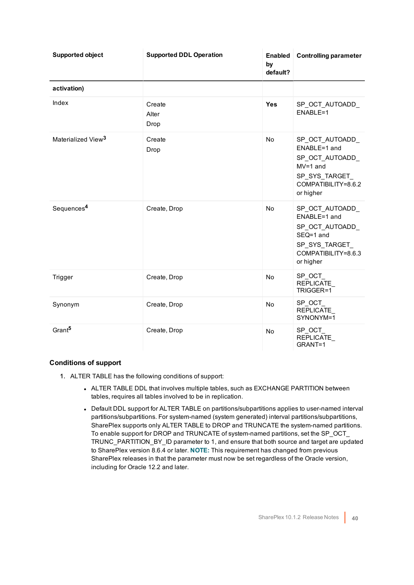| <b>Supported object</b>        | <b>Supported DDL Operation</b> | by<br>default? | <b>Enabled</b> Controlling parameter                                                                                 |
|--------------------------------|--------------------------------|----------------|----------------------------------------------------------------------------------------------------------------------|
| activation)                    |                                |                |                                                                                                                      |
| Index                          | Create<br>Alter<br>Drop        | <b>Yes</b>     | SP_OCT_AUTOADD_<br>ENABLE=1                                                                                          |
| Materialized View <sup>3</sup> | Create<br>Drop                 | No             | SP_OCT_AUTOADD_<br>ENABLE=1 and<br>SP OCT AUTOADD<br>$MV=1$ and<br>SP SYS TARGET<br>COMPATIBILITY=8.6.2<br>or higher |
| Sequences <sup>4</sup>         | Create, Drop                   | No             | SP_OCT_AUTOADD_<br>ENABLE=1 and<br>SP_OCT_AUTOADD_<br>SEQ=1 and<br>SP SYS TARGET<br>COMPATIBILITY=8.6.3<br>or higher |
| Trigger                        | Create, Drop                   | No             | SP_OCT_<br>REPLICATE<br>TRIGGER=1                                                                                    |
| Synonym                        | Create, Drop                   | No             | SP OCT<br>REPLICATE<br>SYNONYM=1                                                                                     |
| Grant <sup>5</sup>             | Create, Drop                   | No             | SP_OCT_<br>REPLICATE<br>GRANT=1                                                                                      |

- 1. ALTER TABLE has the following conditions of support:
	- ALTER TABLE DDL that involves multiple tables, such as EXCHANGE PARTITION between tables, requires all tables involved to be in replication.
	- Default DDL support for ALTER TABLE on partitions/subpartitions applies to user-named interval partitions/subpartitions. For system-named (system generated) interval partitions/subpartitions, SharePlex supports only ALTER TABLE to DROP and TRUNCATE the system-named partitions. To enable support for DROP and TRUNCATE of system-named partitions, set the SP\_OCT\_ TRUNC\_PARTITION\_BY\_ID parameter to 1, and ensure that both source and target are updated to SharePlex version 8.6.4 or later. **NOTE:** This requirement has changed from previous SharePlex releases in that the parameter must now be set regardless of the Oracle version, including for Oracle 12.2 and later.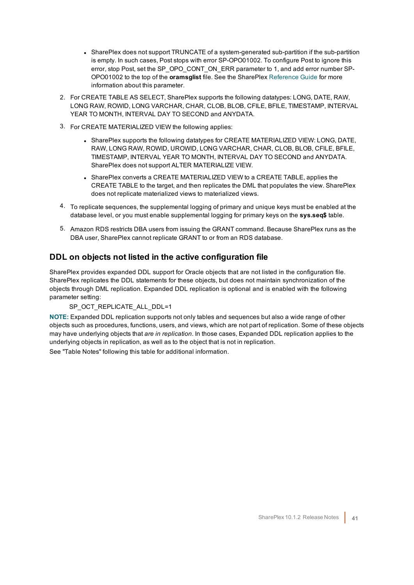- SharePlex does not support TRUNCATE of a system-generated sub-partition if the sub-partition is empty. In such cases, Post stops with error SP-OPO01002. To configure Post to ignore this error, stop Post, set the SP\_OPO\_CONT\_ON\_ERR parameter to 1, and add error number SP-OPO01002 to the top of the **oramsglist** file. See the SharePlex [Reference](https://support.quest.com/shareplex) Guide for more information about this parameter.
- 2. For CREATE TABLE AS SELECT, SharePlex supports the following datatypes: LONG, DATE, RAW, LONG RAW, ROWID, LONG VARCHAR, CHAR, CLOB, BLOB, CFILE, BFILE, TIMESTAMP, INTERVAL YEAR TO MONTH, INTERVAL DAY TO SECOND and ANYDATA.
- 3. For CREATE MATERIALIZED VIEW the following applies:
	- SharePlex supports the following datatypes for CREATE MATERIALIZED VIEW: LONG, DATE, RAW, LONG RAW, ROWID, UROWID, LONG VARCHAR, CHAR, CLOB, BLOB, CFILE, BFILE, TIMESTAMP, INTERVAL YEAR TO MONTH, INTERVAL DAY TO SECOND and ANYDATA. SharePlex does not support ALTER MATERIALIZE VIEW.
	- SharePlex converts a CREATE MATERIALIZED VIEW to a CREATE TABLE, applies the CREATE TABLE to the target, and then replicates the DML that populates the view. SharePlex does not replicate materialized views to materialized views.
- 4. To replicate sequences, the supplemental logging of primary and unique keys must be enabled at the database level, or you must enable supplemental logging for primary keys on the **sys.seq\$** table.
- 5. Amazon RDS restricts DBA users from issuing the GRANT command. Because SharePlex runs as the DBA user, SharePlex cannot replicate GRANT to or from an RDS database.

### **DDL on objects not listed in the active configuration file**

SharePlex provides expanded DDL support for Oracle objects that are not listed in the configuration file. SharePlex replicates the DDL statements for these objects, but does not maintain synchronization of the objects through DML replication. Expanded DDL replication is optional and is enabled with the following parameter setting:

#### SP\_OCT\_REPLICATE\_ALL\_DDL=1

**NOTE:** Expanded DDL replication supports not only tables and sequences but also a wide range of other objects such as procedures, functions, users, and views, which are not part of replication. Some of these objects may have underlying objects that *are in replication*. In those cases, Expanded DDL replication applies to the underlying objects in replication, as well as to the object that is not in replication.

See "Table Notes" following this table for additional information.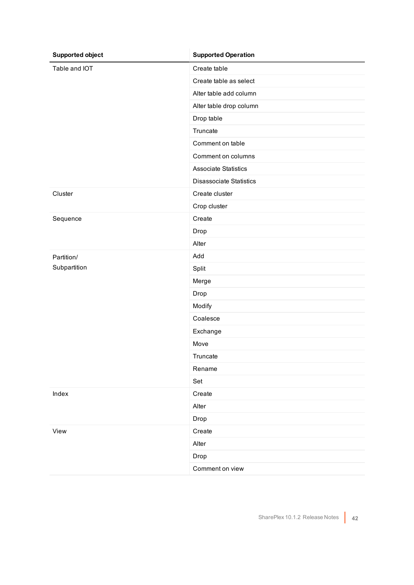| <b>Supported object</b> | <b>Supported Operation</b>     |
|-------------------------|--------------------------------|
| Table and IOT           | Create table                   |
|                         | Create table as select         |
|                         | Alter table add column         |
|                         | Alter table drop column        |
|                         | Drop table                     |
|                         | Truncate                       |
|                         | Comment on table               |
|                         | Comment on columns             |
|                         | <b>Associate Statistics</b>    |
|                         | <b>Disassociate Statistics</b> |
| Cluster                 | Create cluster                 |
|                         | Crop cluster                   |
| Sequence                | Create                         |
|                         | Drop                           |
|                         | Alter                          |
| Partition/              | Add                            |
| Subpartition            | Split                          |
|                         | Merge                          |
|                         | Drop                           |
|                         | Modify                         |
|                         | Coalesce                       |
|                         | Exchange                       |
|                         | Move                           |
|                         | Truncate                       |
|                         | Rename                         |
|                         | Set                            |
| Index                   | Create                         |
|                         | Alter                          |
|                         | Drop                           |
| View                    | Create                         |
|                         | Alter                          |
|                         | Drop                           |
|                         | Comment on view                |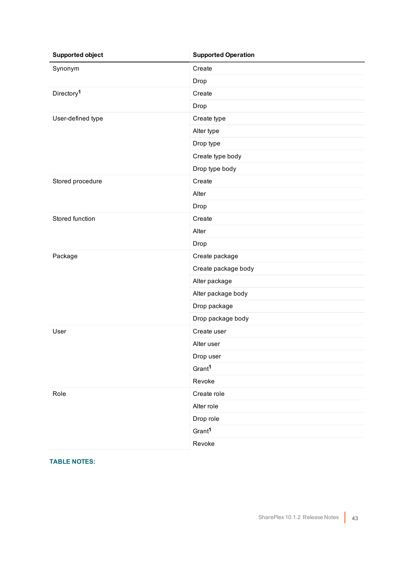| <b>Supported object</b> | <b>Supported Operation</b> |
|-------------------------|----------------------------|
| Synonym                 | Create                     |
|                         | Drop                       |
| Directory <sup>1</sup>  | Create                     |
|                         | Drop                       |
| User-defined type       | Create type                |
|                         | Alter type                 |
|                         | Drop type                  |
|                         | Create type body           |
|                         | Drop type body             |
| Stored procedure        | Create                     |
|                         | Alter                      |
|                         | Drop                       |
| Stored function         | Create                     |
|                         | Alter                      |
|                         | Drop                       |
| Package                 | Create package             |
|                         | Create package body        |
|                         | Alter package              |
|                         | Alter package body         |
|                         | Drop package               |
|                         | Drop package body          |
| User                    | Create user                |
|                         | Alter user                 |
|                         | Drop user                  |
|                         | Gran <sup>1</sup>          |
|                         | Revoke                     |
| Role                    | Create role                |
|                         | Alter role                 |
|                         | Drop role                  |
|                         | Grant <sup>1</sup>         |
|                         | Revoke                     |

**TABLE NOTES:**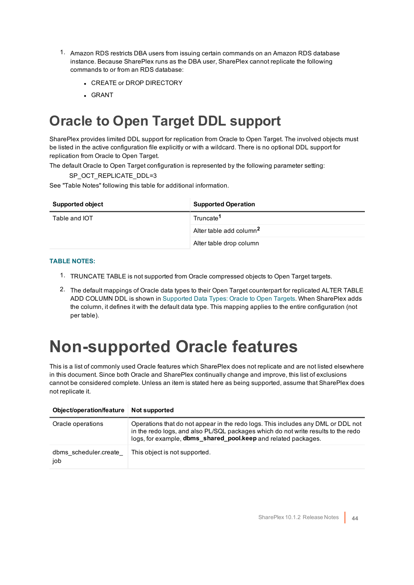- 1. Amazon RDS restricts DBA users from issuing certain commands on an Amazon RDS database instance. Because SharePlex runs as the DBA user, SharePlex cannot replicate the following commands to or from an RDS database:
	- **CREATE or DROP DIRECTORY**
	- . GRANT

### <span id="page-43-0"></span>**Oracle to Open Target DDL support**

SharePlex provides limited DDL support for replication from Oracle to Open Target. The involved objects must be listed in the active configuration file explicitly or with a wildcard. There is no optional DDL support for replication from Oracle to Open Target.

The default Oracle to Open Target configuration is represented by the following parameter setting:

SP\_OCT\_REPLICATE\_DDL=3

See "Table Notes" following this table for additional information.

| <b>Supported object</b> | <b>Supported Operation</b>          |
|-------------------------|-------------------------------------|
| Table and IOT           | Truncate <sup>1</sup>               |
|                         | Alter table add column <sup>2</sup> |
|                         | Alter table drop column             |

#### **TABLE NOTES:**

- 1. TRUNCATE TABLE is not supported from Oracle compressed objects to Open Target targets.
- 2. The default mappings of Oracle data types to their Open Target counterpart for replicated ALTER TABLE ADD COLUMN DDL is shown in [Supported](#page-23-0) Data Types: Oracle to Open Targets. When SharePlex adds the column, it defines it with the default data type. This mapping applies to the entire configuration (not per table).

### <span id="page-43-1"></span>**Non-supported Oracle features**

This is a list of commonly used Oracle features which SharePlex does not replicate and are not listed elsewhere in this document. Since both Oracle and SharePlex continually change and improve, this list of exclusions cannot be considered complete. Unless an item is stated here as being supported, assume that SharePlex does not replicate it.

| Object/operation/feature Not supported |                                                                                                                                                                                                                                         |
|----------------------------------------|-----------------------------------------------------------------------------------------------------------------------------------------------------------------------------------------------------------------------------------------|
| Oracle operations                      | Operations that do not appear in the redo logs. This includes any DML or DDL not<br>in the redo logs, and also PL/SQL packages which do not write results to the redo<br>logs, for example, dbms_shared_pool.keep and related packages. |
| dbms scheduler.create<br>job           | This object is not supported.                                                                                                                                                                                                           |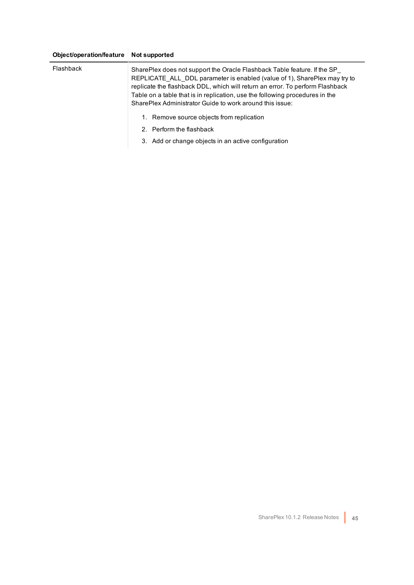### **Object/operation/feature Not supported**

| Flashback | SharePlex does not support the Oracle Flashback Table feature. If the SP<br>REPLICATE ALL DDL parameter is enabled (value of 1), SharePlex may try to<br>replicate the flashback DDL, which will return an error. To perform Flashback<br>Table on a table that is in replication, use the following procedures in the<br>SharePlex Administrator Guide to work around this issue: |
|-----------|------------------------------------------------------------------------------------------------------------------------------------------------------------------------------------------------------------------------------------------------------------------------------------------------------------------------------------------------------------------------------------|
|           | 1. Remove source objects from replication                                                                                                                                                                                                                                                                                                                                          |
|           | 2. Perform the flashback                                                                                                                                                                                                                                                                                                                                                           |
|           | 3. Add or change objects in an active configuration                                                                                                                                                                                                                                                                                                                                |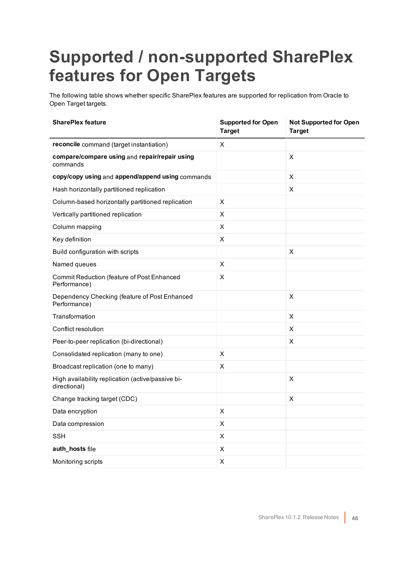## <span id="page-45-0"></span>**Supported / non-supported SharePlex features for Open Targets**

The following table shows whether specific SharePlex features are supported for replication from Oracle to Open Target targets.

| <b>SharePlex feature</b>                                          | <b>Supported for Open</b><br><b>Target</b> | <b>Not Supported for Open</b><br><b>Target</b> |
|-------------------------------------------------------------------|--------------------------------------------|------------------------------------------------|
| reconcile command (target instantiation)                          | X.                                         |                                                |
| compare/compare using and repair/repair using<br>commands         |                                            | X                                              |
| copy/copy using and append/append using commands                  |                                            | X                                              |
| Hash horizontally partitioned replication                         |                                            | X                                              |
| Column-based horizontally partitioned replication                 | X                                          |                                                |
| Vertically partitioned replication                                | X                                          |                                                |
| Column mapping                                                    | X                                          |                                                |
| Key definition                                                    | X                                          |                                                |
| Build configuration with scripts                                  |                                            | X                                              |
| Named queues                                                      | X                                          |                                                |
| Commit Reduction (feature of Post Enhanced<br>Performance)        | X                                          |                                                |
| Dependency Checking (feature of Post Enhanced<br>Performance)     |                                            | X                                              |
| Transformation                                                    |                                            | X                                              |
| Conflict resolution                                               |                                            | X                                              |
| Peer-to-peer replication (bi-directional)                         |                                            | X                                              |
| Consolidated replication (many to one)                            | X                                          |                                                |
| Broadcast replication (one to many)                               | X                                          |                                                |
| High availability replication (active/passive bi-<br>directional) |                                            | X                                              |
| Change tracking target (CDC)                                      |                                            | X                                              |
| Data encryption                                                   | $\pmb{\times}$                             |                                                |
| Data compression                                                  | X                                          |                                                |
| <b>SSH</b>                                                        | X                                          |                                                |
| auth_hosts file                                                   | X                                          |                                                |
| Monitoring scripts                                                | $\pmb{\times}$                             |                                                |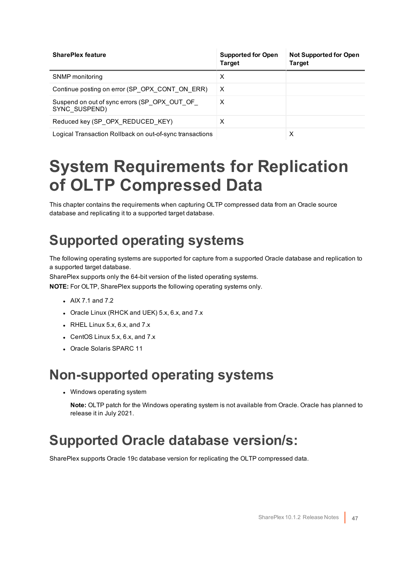| <b>SharePlex feature</b>                                      | <b>Supported for Open</b><br><b>Target</b> | <b>Not Supported for Open</b><br><b>Target</b> |
|---------------------------------------------------------------|--------------------------------------------|------------------------------------------------|
| SNMP monitoring                                               | х                                          |                                                |
| Continue posting on error (SP OPX CONT ON ERR)                | X                                          |                                                |
| Suspend on out of sync errors (SP OPX OUT OF<br>SYNC SUSPEND) | X                                          |                                                |
| Reduced key (SP OPX REDUCED KEY)                              | х                                          |                                                |
| Logical Transaction Rollback on out-of-sync transactions      |                                            | х                                              |

### <span id="page-46-0"></span>**System Requirements for Replication of OLTP Compressed Data**

This chapter contains the requirements when capturing OLTP compressed data from an Oracle source database and replicating it to a supported target database.

### <span id="page-46-1"></span>**Supported operating systems**

The following operating systems are supported for capture from a supported Oracle database and replication to a supported target database.

SharePlex supports only the 64-bit version of the listed operating systems.

**NOTE:** For OLTP, SharePlex supports the following operating systems only.

- $\bullet$  AIX 7.1 and 7.2
- Oracle Linux (RHCK and UEK) 5.x, 6.x, and 7.x
- $\bullet$  RHEL Linux 5.x, 6.x, and 7.x
- $\bullet$  CentOS Linux 5.x, 6.x, and 7.x
- <span id="page-46-2"></span>• Oracle Solaris SPARC 11

### **Non-supported operating systems**

• Windows operating system

**Note:** OLTP patch for the Windows operating system is not available from Oracle. Oracle has planned to release it in July 2021.

### <span id="page-46-3"></span>**Supported Oracle database version/s:**

SharePlex supports Oracle 19c database version for replicating the OLTP compressed data.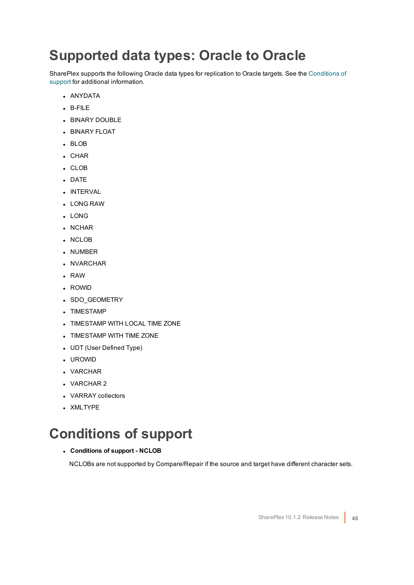### <span id="page-47-0"></span>**Supported data types: Oracle to Oracle**

SharePlex supports the following Oracle data types for replication to Oracle targets. See the [Conditions](#page-47-1) of [support](#page-47-1) for additional information.

- ANYDATA
- $B-FIIF$
- **BINARY DOUBLE**
- **BINARY FLOAT**
- BLOB
- $\cdot$  CHAR
- . CLOB
- DATE
- **.** INTERVAL
- <sup>l</sup> LONG RAW
- . LONG
- NCHAR
- NCLOB
- NUMBER
- NVARCHAR
- $\cdot$  RAW
- ROWID
- SDO\_GEOMETRY
- TIMESTAMP
- **TIMESTAMP WITH LOCAL TIME ZONE**
- TIMESTAMP WITH TIME ZONE
- UDT (User Defined Type)
- <sup>l</sup> UROWID
- VARCHAR
- VARCHAR 2
- VARRAY collectors
- XMLTYPE

### <span id="page-47-1"></span>**Conditions of support**

#### <sup>l</sup> **Conditions of support - NCLOB**

NCLOBs are not supported by Compare/Repair if the source and target have different character sets.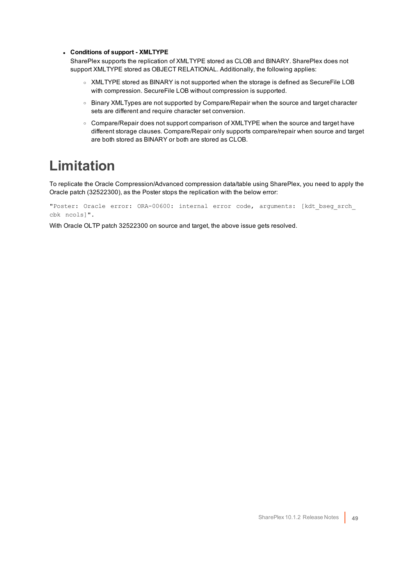#### <sup>l</sup> **Conditions of support - XMLTYPE**

SharePlex supports the replication of XMLTYPE stored as CLOB and BINARY. SharePlex does not support XMLTYPE stored as OBJECT RELATIONAL. Additionally, the following applies:

- XMLTYPE stored as BINARY is not supported when the storage is defined as SecureFile LOB with compression. SecureFile LOB without compression is supported.
- o Binary XMLTypes are not supported by Compare/Repair when the source and target character sets are different and require character set conversion.
- $\circ$  Compare/Repair does not support comparison of XMLTYPE when the source and target have different storage clauses. Compare/Repair only supports compare/repair when source and target are both stored as BINARY or both are stored as CLOB.

### <span id="page-48-0"></span>**Limitation**

To replicate the Oracle Compression/Advanced compression data/table using SharePlex, you need to apply the Oracle patch (32522300), as the Poster stops the replication with the below error:

"Poster: Oracle error: ORA-00600: internal error code, arguments: [kdt\_bseg\_srch\_ cbk ncols]".

With Oracle OLTP patch 32522300 on source and target, the above issue gets resolved.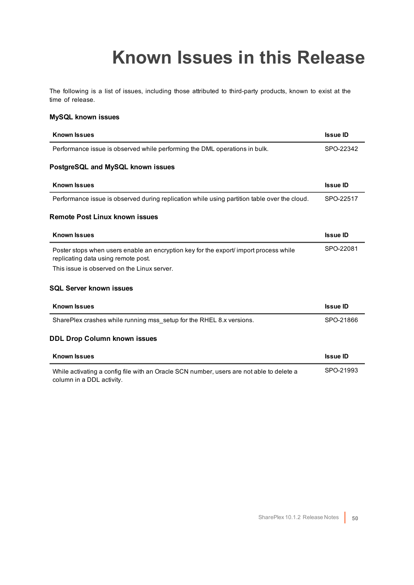## **Known Issues in this Release**

<span id="page-49-0"></span>The following is a list of issues, including those attributed to third-party products, known to exist at the time of release.

#### **MySQL known issues**

| <b>Known Issues</b>                                                                                                          | <b>Issue ID</b> |
|------------------------------------------------------------------------------------------------------------------------------|-----------------|
| Performance issue is observed while performing the DML operations in bulk.                                                   | SPO-22342       |
| PostgreSQL and MySQL known issues                                                                                            |                 |
| <b>Known Issues</b>                                                                                                          | <b>Issue ID</b> |
| Performance issue is observed during replication while using partition table over the cloud.                                 | SPO-22517       |
| <b>Remote Post Linux known issues</b>                                                                                        |                 |
| <b>Known Issues</b>                                                                                                          | <b>Issue ID</b> |
| Poster stops when users enable an encryption key for the export/ import process while<br>replicating data using remote post. | SPO-22081       |
| This issue is observed on the Linux server.                                                                                  |                 |
| <b>SQL Server known issues</b>                                                                                               |                 |
| <b>Known Issues</b>                                                                                                          | <b>Issue ID</b> |
| SharePlex crashes while running mss setup for the RHEL 8.x versions.                                                         | SPO-21866       |
| <b>DDL Drop Column known issues</b>                                                                                          |                 |
| <b>Known Issues</b>                                                                                                          | <b>Issue ID</b> |
| While activating a config file with an Oracle SCN number, users are not able to delete a<br>column in a DDL activity.        | SPO-21993       |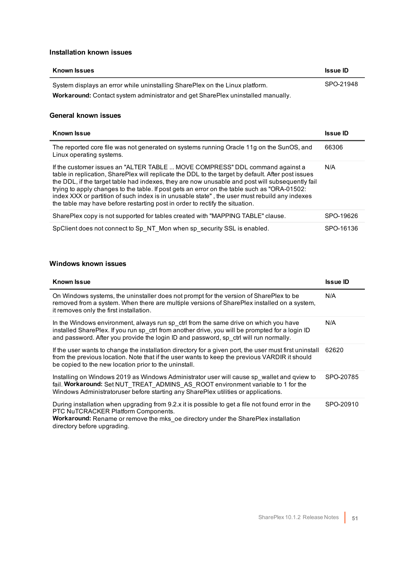#### **Installation known issues**

| <b>Known Issues</b>                                                                     | <b>Issue ID</b> |
|-----------------------------------------------------------------------------------------|-----------------|
| System displays an error while uninstalling SharePlex on the Linux platform.            | SPO-21948       |
| <b>Workaround:</b> Contact system administrator and get SharePlex uninstalled manually. |                 |

#### **General known issues**

| <b>Known Issue</b>                                                                                                                                                                                                                                                                                                                                                                                                                                                                                                                                                     | <b>Issue ID</b> |
|------------------------------------------------------------------------------------------------------------------------------------------------------------------------------------------------------------------------------------------------------------------------------------------------------------------------------------------------------------------------------------------------------------------------------------------------------------------------------------------------------------------------------------------------------------------------|-----------------|
| The reported core file was not generated on systems running Oracle 11g on the SunOS, and<br>Linux operating systems.                                                                                                                                                                                                                                                                                                                                                                                                                                                   | 66306           |
| If the customer issues an "ALTER TABLE  MOVE COMPRESS" DDL command against a<br>table in replication, SharePlex will replicate the DDL to the target by default. After post issues<br>the DDL, if the target table had indexes, they are now unusable and post will subsequently fail<br>trying to apply changes to the table. If post gets an error on the table such as "ORA-01502:<br>index XXX or partition of such index is in unusable state", the user must rebuild any indexes<br>the table may have before restarting post in order to rectify the situation. | N/A             |
| SharePlex copy is not supported for tables created with "MAPPING TABLE" clause.                                                                                                                                                                                                                                                                                                                                                                                                                                                                                        | SPO-19626       |
| SpClient does not connect to Sp_NT_Mon when sp_security SSL is enabled.                                                                                                                                                                                                                                                                                                                                                                                                                                                                                                | SPO-16136       |

### **Windows known issues**

| <b>Known Issue</b>                                                                                                                                                                                                                                                               | <b>Issue ID</b> |
|----------------------------------------------------------------------------------------------------------------------------------------------------------------------------------------------------------------------------------------------------------------------------------|-----------------|
| On Windows systems, the uninstaller does not prompt for the version of SharePlex to be<br>removed from a system. When there are multiple versions of SharePlex installed on a system,<br>it removes only the first installation.                                                 | N/A             |
| In the Windows environment, always run sp ctrl from the same drive on which you have<br>installed SharePlex. If you run sp ctrl from another drive, you will be prompted for a login ID<br>and password. After you provide the login ID and password, sp_ctrl will run normally. | N/A             |
| If the user wants to change the installation directory for a given port, the user must first uninstall<br>from the previous location. Note that if the user wants to keep the previous VARDIR it should<br>be copied to the new location prior to the uninstall.                 | 62620           |
| Installing on Windows 2019 as Windows Administrator user will cause sp wallet and gview to<br>fail. Workaround: Set NUT TREAT ADMINS AS ROOT environment variable to 1 for the<br>Windows Administratoruser before starting any SharePlex utilities or applications.             | SPO-20785       |
| During installation when upgrading from 9.2.x it is possible to get a file not found error in the<br>PTC NuTCRACKER Platform Components.<br>Workaround: Rename or remove the mks_oe directory under the SharePlex installation<br>directory before upgrading.                    | SPO-20910       |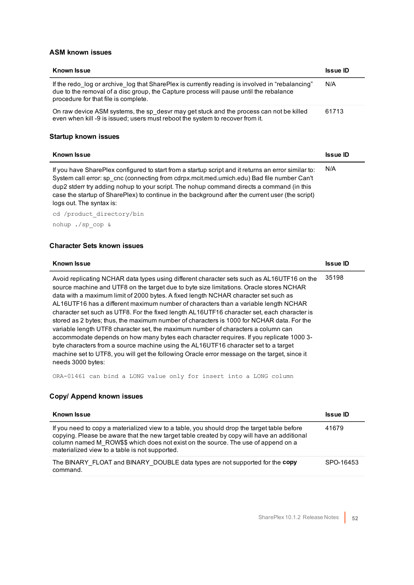### **ASM known issues**

| <b>Known Issue</b>                                                                                                                                                                                                                                                                                                                                                                                                             | <b>Issue ID</b> |
|--------------------------------------------------------------------------------------------------------------------------------------------------------------------------------------------------------------------------------------------------------------------------------------------------------------------------------------------------------------------------------------------------------------------------------|-----------------|
| If the redo log or archive log that SharePlex is currently reading is involved in "rebalancing"<br>due to the removal of a disc group, the Capture process will pause until the rebalance<br>procedure for that file is complete.                                                                                                                                                                                              | N/A             |
| On raw device ASM systems, the sp_desvr may get stuck and the process can not be killed<br>even when kill -9 is issued; users must reboot the system to recover from it.                                                                                                                                                                                                                                                       | 61713           |
| Startup known issues                                                                                                                                                                                                                                                                                                                                                                                                           |                 |
|                                                                                                                                                                                                                                                                                                                                                                                                                                |                 |
| <b>Known Issue</b>                                                                                                                                                                                                                                                                                                                                                                                                             | <b>Issue ID</b> |
| If you have SharePlex configured to start from a startup script and it returns an error similar to:<br>System call error: sp cnc (connecting from cdrpx.mcit.med.umich.edu) Bad file number Can't<br>dup2 stderr try adding nohup to your script. The nohup command directs a command (in this<br>case the startup of SharePlex) to continue in the background after the current user (the script)<br>logs out. The syntax is: | N/A             |
| cd /product directory/bin                                                                                                                                                                                                                                                                                                                                                                                                      |                 |

#### **Character Sets known issues**

| <b>Known Issue</b>                                                                                                                                                                                                                                                                                                                                                                                                                                                                                                                                                                                                                                                                                                                                                                                                                                                                                                                                          | <b>Issue ID</b> |
|-------------------------------------------------------------------------------------------------------------------------------------------------------------------------------------------------------------------------------------------------------------------------------------------------------------------------------------------------------------------------------------------------------------------------------------------------------------------------------------------------------------------------------------------------------------------------------------------------------------------------------------------------------------------------------------------------------------------------------------------------------------------------------------------------------------------------------------------------------------------------------------------------------------------------------------------------------------|-----------------|
| Avoid replicating NCHAR data types using different character sets such as AL16UTF16 on the<br>source machine and UTF8 on the target due to byte size limitations. Oracle stores NCHAR<br>data with a maximum limit of 2000 bytes. A fixed length NCHAR character set such as<br>AL16UTF16 has a different maximum number of characters than a variable length NCHAR<br>character set such as UTF8. For the fixed length AL16UTF16 character set, each character is<br>stored as 2 bytes; thus, the maximum number of characters is 1000 for NCHAR data. For the<br>variable length UTF8 character set, the maximum number of characters a column can<br>accommodate depends on how many bytes each character requires. If you replicate 1000 3-<br>byte characters from a source machine using the AL16UTF16 character set to a target<br>machine set to UTF8, you will get the following Oracle error message on the target, since it<br>needs 3000 bytes: | 35198           |

ORA-01461 can bind a LONG value only for insert into a LONG column

### **Copy/ Append known issues**

| Known Issue                                                                                                                                                                                                                                                                                                                      | <b>Issue ID</b> |
|----------------------------------------------------------------------------------------------------------------------------------------------------------------------------------------------------------------------------------------------------------------------------------------------------------------------------------|-----------------|
| If you need to copy a materialized view to a table, you should drop the target table before<br>copying. Please be aware that the new target table created by copy will have an additional<br>column named M ROW\$\$ which does not exist on the source. The use of append on a<br>materialized view to a table is not supported. | 41679           |
| The BINARY FLOAT and BINARY DOUBLE data types are not supported for the copy<br>command.                                                                                                                                                                                                                                         | SPO-16453       |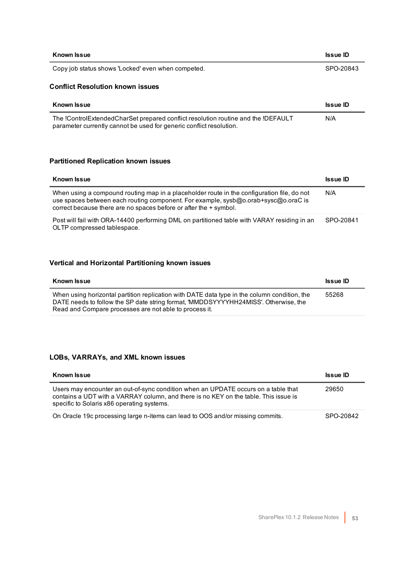| <b>Known Issue</b>                                                                | <b>Issue ID</b> |
|-----------------------------------------------------------------------------------|-----------------|
| Copy job status shows 'Locked' even when competed.                                | SPO-20843       |
| <b>Conflict Resolution known issues</b>                                           |                 |
| <b>Known Issue</b>                                                                | <b>Issue ID</b> |
| The !ControlExtendedCharSet prepared conflict resolution routine and the !DEFAULT | N/A             |

parameter currently cannot be used for generic conflict resolution.

### **Partitioned Replication known issues**

| <b>Known Issue</b>                                                                                                                                                                                                                                    | <b>Issue ID</b> |
|-------------------------------------------------------------------------------------------------------------------------------------------------------------------------------------------------------------------------------------------------------|-----------------|
| When using a compound routing map in a placeholder route in the configuration file, do not<br>use spaces between each routing component. For example, sysb@o.orab+sysc@o.oraC is<br>correct because there are no spaces before or after the + symbol. | N/A             |
| Post will fail with ORA-14400 performing DML on partitioned table with VARAY residing in an<br>OLTP compressed tablespace.                                                                                                                            | SPO-20841       |

### **Vertical and Horizontal Partitioning known issues**

| Known Issue                                                                                                                                                                                                                                   | <b>Issue ID</b> |
|-----------------------------------------------------------------------------------------------------------------------------------------------------------------------------------------------------------------------------------------------|-----------------|
| When using horizontal partition replication with DATE data type in the column condition, the<br>DATE needs to follow the SP date string format, 'MMDDSYYYYHH24MISS'. Otherwise, the<br>Read and Compare processes are not able to process it. | 55268           |

#### **LOBs, VARRAYs, and XML known issues**

| <b>Known Issue</b>                                                                                                                                                                                                       | <b>Issue ID</b> |
|--------------------------------------------------------------------------------------------------------------------------------------------------------------------------------------------------------------------------|-----------------|
| Users may encounter an out-of-sync condition when an UPDATE occurs on a table that<br>contains a UDT with a VARRAY column, and there is no KEY on the table. This issue is<br>specific to Solaris x86 operating systems. | 29650           |
| On Oracle 19c processing large n-items can lead to OOS and/or missing commits.                                                                                                                                           | SPO-20842       |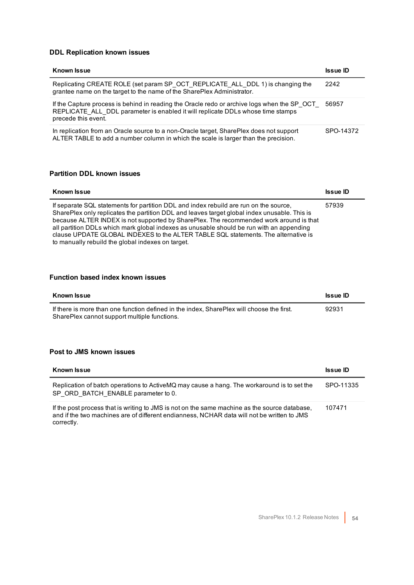#### **DDL Replication known issues**

| <b>Known Issue</b>                                                                                                                                                                                    | <b>Issue ID</b> |
|-------------------------------------------------------------------------------------------------------------------------------------------------------------------------------------------------------|-----------------|
| Replicating CREATE ROLE (set param SP OCT REPLICATE ALL DDL 1) is changing the<br>grantee name on the target to the name of the SharePlex Administrator.                                              | 2242            |
| If the Capture process is behind in reading the Oracle redo or archive logs when the SP OCT<br>REPLICATE ALL DDL parameter is enabled it will replicate DDLs whose time stamps<br>precede this event. | 56957           |
| In replication from an Oracle source to a non-Oracle target, SharePlex does not support<br>ALTER TABLE to add a number column in which the scale is larger than the precision.                        | SPO-14372       |

### **Partition DDL known issues**

| <b>Known Issue</b>                                                                                                                                                                                                                                                                                                                                                                                                                                                                                                     | <b>Issue ID</b> |
|------------------------------------------------------------------------------------------------------------------------------------------------------------------------------------------------------------------------------------------------------------------------------------------------------------------------------------------------------------------------------------------------------------------------------------------------------------------------------------------------------------------------|-----------------|
| If separate SQL statements for partition DDL and index rebuild are run on the source,<br>SharePlex only replicates the partition DDL and leaves target global index unusable. This is<br>because ALTER INDEX is not supported by SharePlex. The recommended work around is that<br>all partition DDLs which mark global indexes as unusable should be run with an appending<br>clause UPDATE GLOBAL INDEXES to the ALTER TABLE SQL statements. The alternative is<br>to manually rebuild the global indexes on target. | 57939           |

#### **Function based index known issues**

| Known Issue                                                                                                                               | <b>Issue ID</b> |
|-------------------------------------------------------------------------------------------------------------------------------------------|-----------------|
| If there is more than one function defined in the index. SharePlex will choose the first.<br>SharePlex cannot support multiple functions. | 92931           |

### **Post to JMS known issues**

| <b>Known Issue</b>                                                                                                                                                                                        | <b>Issue ID</b> |
|-----------------------------------------------------------------------------------------------------------------------------------------------------------------------------------------------------------|-----------------|
| Replication of batch operations to ActiveMQ may cause a hang. The workaround is to set the<br>SP ORD BATCH ENABLE parameter to 0.                                                                         | SPO-11335       |
| If the post process that is writing to JMS is not on the same machine as the source database.<br>and if the two machines are of different endianness, NCHAR data will not be written to JMS<br>correctly. | 107471          |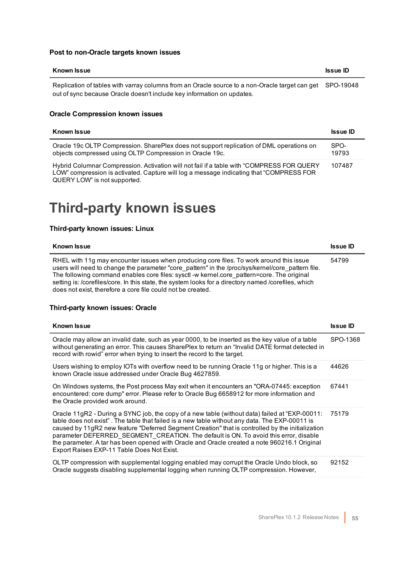### **Post to non-Oracle targets known issues**

| Known Issue                                                                                                                                                                        | <b>Issue ID</b> |
|------------------------------------------------------------------------------------------------------------------------------------------------------------------------------------|-----------------|
| Replication of tables with varray columns from an Oracle source to a non-Oracle target can get SPO-19048<br>out of sync because Oracle doesn't include key information on updates. |                 |

### **Oracle Compression known issues**

| <b>Known Issue</b>                                                                                                                                                                                                   | <b>Issue ID</b> |
|----------------------------------------------------------------------------------------------------------------------------------------------------------------------------------------------------------------------|-----------------|
| Oracle 19c OLTP Compression. SharePlex does not support replication of DML operations on<br>objects compressed using OLTP Compression in Oracle 19c.                                                                 | SPO-<br>19793   |
| Hybrid Columnar Compression. Activation will not fail if a table with "COMPRESS FOR QUERY<br>LOW" compression is activated. Capture will log a message indicating that "COMPRESS FOR<br>QUERY LOW" is not supported. | 107487          |

### <span id="page-54-0"></span>**Third-party known issues**

#### **Third-party known issues: Linux**

| <b>Known Issue</b>                                                                                                                                                                                                                                                                                                                                                                                                                                               | <b>Issue ID</b> |
|------------------------------------------------------------------------------------------------------------------------------------------------------------------------------------------------------------------------------------------------------------------------------------------------------------------------------------------------------------------------------------------------------------------------------------------------------------------|-----------------|
| RHEL with 11g may encounter issues when producing core files. To work around this issue<br>users will need to change the parameter "core pattern" in the /proc/sys/kernel/core pattern file.<br>The following command enables core files: sysct -w kernel.core pattern=core. The original<br>setting is: /corefiles/core. In this state, the system looks for a directory named /corefiles, which<br>does not exist, therefore a core file could not be created. | 54799           |

#### **Third-party known issues: Oracle**

| <b>Known Issue</b>                                                                                                                                                                                                                                                                                                                                                                                                                                                                                                                         | <b>Issue ID</b> |
|--------------------------------------------------------------------------------------------------------------------------------------------------------------------------------------------------------------------------------------------------------------------------------------------------------------------------------------------------------------------------------------------------------------------------------------------------------------------------------------------------------------------------------------------|-----------------|
| Oracle may allow an invalid date, such as year 0000, to be inserted as the key value of a table<br>without generating an error. This causes SharePlex to return an "Invalid DATE format detected in<br>record with rowid" error when trying to insert the record to the target.                                                                                                                                                                                                                                                            | SPO-1368        |
| Users wishing to employ IOTs with overflow need to be running Oracle 11g or higher. This is a<br>known Oracle issue addressed under Oracle Bug 4627859.                                                                                                                                                                                                                                                                                                                                                                                    | 44626           |
| On Windows systems, the Post process May exit when it encounters an "ORA-07445: exception<br>encountered: core dump" error. Please refer to Oracle Bug 6658912 for more information and<br>the Oracle provided work around.                                                                                                                                                                                                                                                                                                                | 67441           |
| Oracle 11gR2 - During a SYNC job, the copy of a new table (without data) failed at "EXP-00011:<br>table does not exist". The table that failed is a new table without any data. The EXP-00011 is<br>caused by 11gR2 new feature "Deferred Segment Creation" that is controlled by the initialization<br>parameter DEFERRED SEGMENT CREATION. The default is ON. To avoid this error, disable<br>the parameter. A tar has been opened with Oracle and Oracle created a note 960216.1 Original<br>Export Raises EXP-11 Table Does Not Exist. | 75179           |
| OLTP compression with supplemental logging enabled may corrupt the Oracle Undo block, so<br>Oracle suggests disabling supplemental logging when running OLTP compression. However,                                                                                                                                                                                                                                                                                                                                                         | 92152           |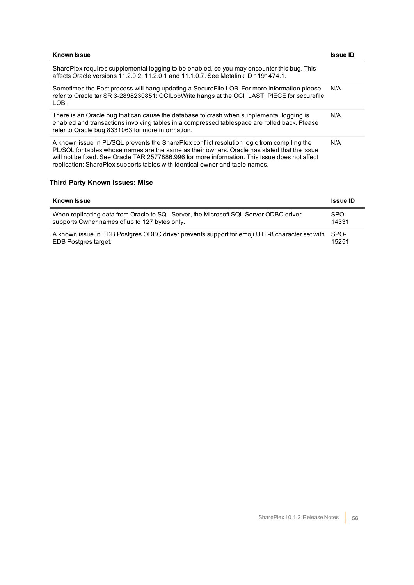| <b>Known Issue</b>                                                                                                                                                                                                                                                                                                                                                            | Issue ID |
|-------------------------------------------------------------------------------------------------------------------------------------------------------------------------------------------------------------------------------------------------------------------------------------------------------------------------------------------------------------------------------|----------|
| SharePlex requires supplemental logging to be enabled, so you may encounter this bug. This<br>affects Oracle versions 11.2.0.2, 11.2.0.1 and 11.1.0.7. See Metalink ID 1191474.1.                                                                                                                                                                                             |          |
| Sometimes the Post process will hang updating a SecureFile LOB. For more information please<br>refer to Oracle tar SR 3-2898230851: OCILobWrite hangs at the OCI LAST PIECE for securefile<br>LOB.                                                                                                                                                                            | N/A      |
| There is an Oracle bug that can cause the database to crash when supplemental logging is<br>enabled and transactions involving tables in a compressed tablespace are rolled back. Please<br>refer to Oracle bug 8331063 for more information.                                                                                                                                 | N/A      |
| A known issue in PL/SQL prevents the SharePlex conflict resolution logic from compiling the<br>PL/SQL for tables whose names are the same as their owners. Oracle has stated that the issue<br>will not be fixed. See Oracle TAR 2577886.996 for more information. This issue does not affect<br>replication; SharePlex supports tables with identical owner and table names. | N/A      |

### **Third Party Known Issues: Misc**

| <b>Known Issue</b>                                                                            | <b>Issue ID</b> |
|-----------------------------------------------------------------------------------------------|-----------------|
| When replicating data from Oracle to SQL Server, the Microsoft SQL Server ODBC driver         | SPO-            |
| supports Owner names of up to 127 bytes only.                                                 | 14331           |
| A known issue in EDB Postgres ODBC driver prevents support for emoji UTF-8 character set with | SPO-            |
| EDB Postgres target.                                                                          | 15251           |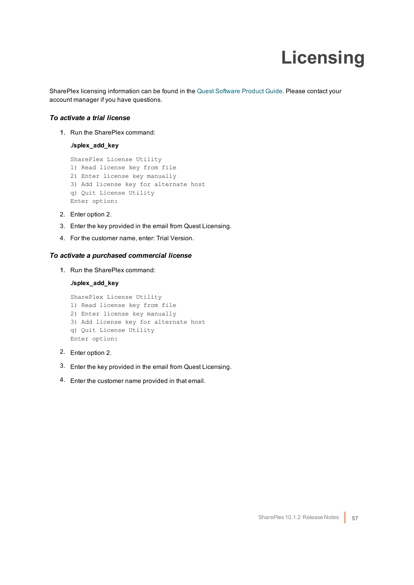# **Licensing**

<span id="page-56-0"></span>SharePlex licensing information can be found in the Quest [Software](http://www.quest.com/productguide) Product Guide. Please contact your account manager if you have questions.

### *To activate a trial license*

1. Run the SharePlex command:

**./splex\_add\_key**

SharePlex License Utility 1) Read license key from file 2) Enter license key manually 3) Add license key for alternate host q) Quit License Utility Enter option:

- 2. Enter option 2.
- 3. Enter the key provided in the email from Quest Licensing.
- 4. For the customer name, enter: Trial Version.

#### *To activate a purchased commercial license*

1. Run the SharePlex command:

#### **./splex\_add\_key**

SharePlex License Utility 1) Read license key from file 2) Enter license key manually 3) Add license key for alternate host q) Quit License Utility Enter option:

- 2. Enter option 2.
- 3. Enter the key provided in the email from Quest Licensing.
- 4. Enter the customer name provided in that email.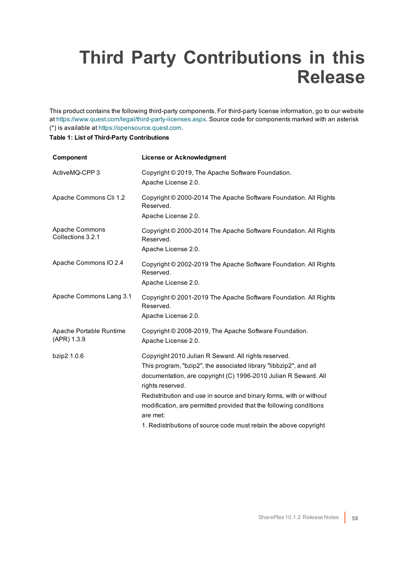## <span id="page-57-0"></span>**Third Party Contributions in this Release**

This product contains the following third-party components. For third-party license information, go to our website at <https://www.quest.com/legal/third-party-licenses.aspx>. Source code for components marked with an asterisk (\*) is available at [https://opensource.quest.com](https://opensource.quest.com/).

#### **Table 1: List of Third-Party Contributions**

| Component                              | <b>License or Acknowledgment</b>                                                                                                                                                                                                                                                                                                                                                                                                              |
|----------------------------------------|-----------------------------------------------------------------------------------------------------------------------------------------------------------------------------------------------------------------------------------------------------------------------------------------------------------------------------------------------------------------------------------------------------------------------------------------------|
| ActiveMQ-CPP 3                         | Copyright © 2019, The Apache Software Foundation.<br>Apache License 2.0.                                                                                                                                                                                                                                                                                                                                                                      |
| Apache Commons Cli 1.2                 | Copyright © 2000-2014 The Apache Software Foundation. All Rights<br>Reserved.<br>Apache License 2.0.                                                                                                                                                                                                                                                                                                                                          |
| Apache Commons<br>Collections 3.2.1    | Copyright © 2000-2014 The Apache Software Foundation. All Rights<br>Reserved.<br>Apache License 2.0.                                                                                                                                                                                                                                                                                                                                          |
| Apache Commons IO 2.4                  | Copyright © 2002-2019 The Apache Software Foundation. All Rights<br>Reserved.<br>Apache License 2.0.                                                                                                                                                                                                                                                                                                                                          |
| Apache Commons Lang 3.1                | Copyright © 2001-2019 The Apache Software Foundation. All Rights<br>Reserved.<br>Apache License 2.0.                                                                                                                                                                                                                                                                                                                                          |
| Apache Portable Runtime<br>(APR) 1.3.9 | Copyright © 2008-2019, The Apache Software Foundation.<br>Apache License 2.0.                                                                                                                                                                                                                                                                                                                                                                 |
| bzip2 1.0.6                            | Copyright 2010 Julian R Seward. All rights reserved.<br>This program, "bzip2", the associated library "libbzip2", and all<br>documentation, are copyright (C) 1996-2010 Julian R Seward. All<br>rights reserved.<br>Redistribution and use in source and binary forms, with or without<br>modification, are permitted provided that the following conditions<br>are met:<br>1. Redistributions of source code must retain the above copyright |
|                                        |                                                                                                                                                                                                                                                                                                                                                                                                                                               |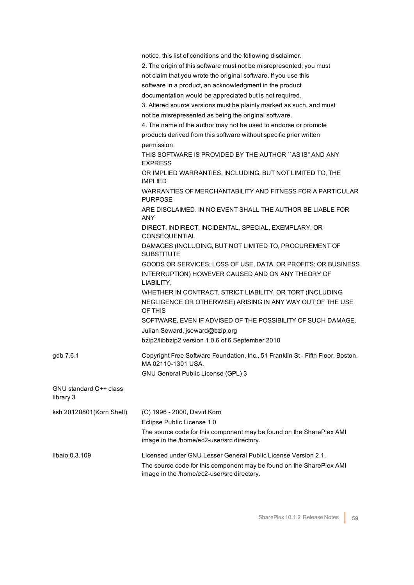|                                     | notice, this list of conditions and the following disclaimer.                                                      |
|-------------------------------------|--------------------------------------------------------------------------------------------------------------------|
|                                     | 2. The origin of this software must not be misrepresented; you must                                                |
|                                     | not claim that you wrote the original software. If you use this                                                    |
|                                     | software in a product, an acknowledgment in the product                                                            |
|                                     | documentation would be appreciated but is not required.                                                            |
|                                     | 3. Altered source versions must be plainly marked as such, and must                                                |
|                                     | not be misrepresented as being the original software.                                                              |
|                                     | 4. The name of the author may not be used to endorse or promote                                                    |
|                                     | products derived from this software without specific prior written                                                 |
|                                     | permission.                                                                                                        |
|                                     | THIS SOFTWARE IS PROVIDED BY THE AUTHOR "AS IS" AND ANY<br><b>EXPRESS</b>                                          |
|                                     | OR IMPLIED WARRANTIES, INCLUDING, BUT NOT LIMITED TO, THE<br><b>IMPLIED</b>                                        |
|                                     | WARRANTIES OF MERCHANTABILITY AND FITNESS FOR A PARTICULAR<br><b>PURPOSE</b>                                       |
|                                     | ARE DISCLAIMED. IN NO EVENT SHALL THE AUTHOR BE LIABLE FOR<br><b>ANY</b>                                           |
|                                     | DIRECT, INDIRECT, INCIDENTAL, SPECIAL, EXEMPLARY, OR<br><b>CONSEQUENTIAL</b>                                       |
|                                     | DAMAGES (INCLUDING, BUT NOT LIMITED TO, PROCUREMENT OF<br><b>SUBSTITUTE</b>                                        |
|                                     | GOODS OR SERVICES; LOSS OF USE, DATA, OR PROFITS; OR BUSINESS                                                      |
|                                     | INTERRUPTION) HOWEVER CAUSED AND ON ANY THEORY OF<br>LIABILITY,                                                    |
|                                     | WHETHER IN CONTRACT, STRICT LIABILITY, OR TORT (INCLUDING                                                          |
|                                     | NEGLIGENCE OR OTHERWISE) ARISING IN ANY WAY OUT OF THE USE<br>OF THIS                                              |
|                                     | SOFTWARE, EVEN IF ADVISED OF THE POSSIBILITY OF SUCH DAMAGE.                                                       |
|                                     | Julian Seward, jseward@bzip.org                                                                                    |
|                                     | bzip2/libbzip2 version 1.0.6 of 6 September 2010                                                                   |
| gdb 7.6.1                           | Copyright Free Software Foundation, Inc., 51 Franklin St - Fifth Floor, Boston,<br>MA 02110-1301 USA.              |
|                                     | GNU General Public License (GPL) 3                                                                                 |
| GNU standard C++ class<br>library 3 |                                                                                                                    |
| ksh 20120801(Korn Shell)            | (C) 1996 - 2000, David Korn                                                                                        |
|                                     | Eclipse Public License 1.0                                                                                         |
|                                     | The source code for this component may be found on the SharePlex AMI                                               |
|                                     | image in the /home/ec2-user/src directory.                                                                         |
| libaio 0.3.109                      | Licensed under GNU Lesser General Public License Version 2.1.                                                      |
|                                     | The source code for this component may be found on the SharePlex AMI<br>image in the /home/ec2-user/src directory. |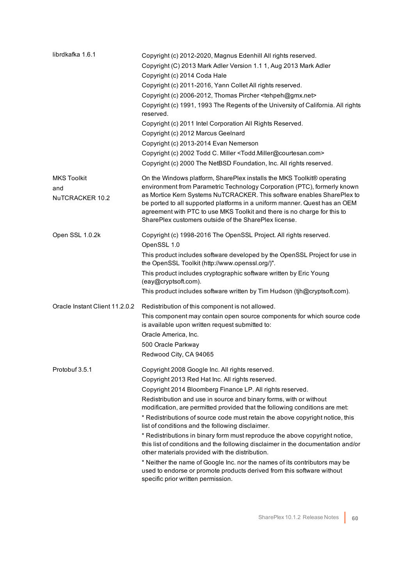| librdkafka 1.6.1                             | Copyright (c) 2012-2020, Magnus Edenhill All rights reserved.<br>Copyright (C) 2013 Mark Adler Version 1.1 1, Aug 2013 Mark Adler<br>Copyright (c) 2014 Coda Hale<br>Copyright (c) 2011-2016, Yann Collet All rights reserved.<br>Copyright (c) 2006-2012, Thomas Pircher <tehpeh@gmx.net><br/>Copyright (c) 1991, 1993 The Regents of the University of California. All rights<br/>reserved.<br/>Copyright (c) 2011 Intel Corporation All Rights Reserved.<br/>Copyright (c) 2012 Marcus Geelnard<br/>Copyright (c) 2013-2014 Evan Nemerson<br/>Copyright (c) 2002 Todd C. Miller <todd.miller@courtesan.com><br/>Copyright (c) 2000 The NetBSD Foundation, Inc. All rights reserved.</todd.miller@courtesan.com></tehpeh@gmx.net>                                                                                                                                            |
|----------------------------------------------|--------------------------------------------------------------------------------------------------------------------------------------------------------------------------------------------------------------------------------------------------------------------------------------------------------------------------------------------------------------------------------------------------------------------------------------------------------------------------------------------------------------------------------------------------------------------------------------------------------------------------------------------------------------------------------------------------------------------------------------------------------------------------------------------------------------------------------------------------------------------------------|
| <b>MKS Toolkit</b><br>and<br>NuTCRACKER 10.2 | On the Windows platform, SharePlex installs the MKS Toolkit® operating<br>environment from Parametric Technology Corporation (PTC), formerly known<br>as Mortice Kern Systems NuTCRACKER. This software enables SharePlex to<br>be ported to all supported platforms in a uniform manner. Quest has an OEM<br>agreement with PTC to use MKS Toolkit and there is no charge for this to<br>SharePlex customers outside of the SharePlex license.                                                                                                                                                                                                                                                                                                                                                                                                                                |
| Open SSL 1.0.2k                              | Copyright (c) 1998-2016 The OpenSSL Project. All rights reserved.<br>OpenSSL 1.0<br>This product includes software developed by the OpenSSL Project for use in<br>the OpenSSL Toolkit (http://www.openssl.org/)".<br>This product includes cryptographic software written by Eric Young<br>(eay@cryptsoft.com).<br>This product includes software written by Tim Hudson (tjh@cryptsoft.com).                                                                                                                                                                                                                                                                                                                                                                                                                                                                                   |
| Oracle Instant Client 11.2.0.2               | Redistribution of this component is not allowed.<br>This component may contain open source components for which source code<br>is available upon written request submitted to:<br>Oracle America, Inc.<br>500 Oracle Parkway<br>Redwood City, CA 94065                                                                                                                                                                                                                                                                                                                                                                                                                                                                                                                                                                                                                         |
| Protobuf 3.5.1                               | Copyright 2008 Google Inc. All rights reserved.<br>Copyright 2013 Red Hat Inc. All rights reserved.<br>Copyright 2014 Bloomberg Finance LP. All rights reserved.<br>Redistribution and use in source and binary forms, with or without<br>modification, are permitted provided that the following conditions are met:<br>* Redistributions of source code must retain the above copyright notice, this<br>list of conditions and the following disclaimer.<br>* Redistributions in binary form must reproduce the above copyright notice,<br>this list of conditions and the following disclaimer in the documentation and/or<br>other materials provided with the distribution.<br>* Neither the name of Google Inc. nor the names of its contributors may be<br>used to endorse or promote products derived from this software without<br>specific prior written permission. |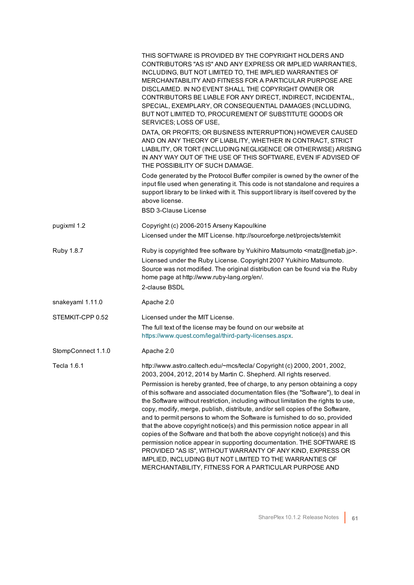|                    | THIS SOFTWARE IS PROVIDED BY THE COPYRIGHT HOLDERS AND<br>CONTRIBUTORS "AS IS" AND ANY EXPRESS OR IMPLIED WARRANTIES,<br>INCLUDING, BUT NOT LIMITED TO, THE IMPLIED WARRANTIES OF<br>MERCHANTABILITY AND FITNESS FOR A PARTICULAR PURPOSE ARE<br>DISCLAIMED. IN NO EVENT SHALL THE COPYRIGHT OWNER OR<br>CONTRIBUTORS BE LIABLE FOR ANY DIRECT, INDIRECT, INCIDENTAL,<br>SPECIAL, EXEMPLARY, OR CONSEQUENTIAL DAMAGES (INCLUDING,<br>BUT NOT LIMITED TO, PROCUREMENT OF SUBSTITUTE GOODS OR<br>SERVICES; LOSS OF USE,                                                                                                                                                     |
|--------------------|---------------------------------------------------------------------------------------------------------------------------------------------------------------------------------------------------------------------------------------------------------------------------------------------------------------------------------------------------------------------------------------------------------------------------------------------------------------------------------------------------------------------------------------------------------------------------------------------------------------------------------------------------------------------------|
|                    | DATA, OR PROFITS; OR BUSINESS INTERRUPTION) HOWEVER CAUSED<br>AND ON ANY THEORY OF LIABILITY, WHETHER IN CONTRACT, STRICT<br>LIABILITY, OR TORT (INCLUDING NEGLIGENCE OR OTHERWISE) ARISING<br>IN ANY WAY OUT OF THE USE OF THIS SOFTWARE, EVEN IF ADVISED OF<br>THE POSSIBILITY OF SUCH DAMAGE.                                                                                                                                                                                                                                                                                                                                                                          |
|                    | Code generated by the Protocol Buffer compiler is owned by the owner of the<br>input file used when generating it. This code is not standalone and requires a<br>support library to be linked with it. This support library is itself covered by the<br>above license.<br><b>BSD 3-Clause License</b>                                                                                                                                                                                                                                                                                                                                                                     |
| pugixml 1.2        | Copyright (c) 2006-2015 Arseny Kapoulkine<br>Licensed under the MIT License. http://sourceforge.net/projects/stemkit                                                                                                                                                                                                                                                                                                                                                                                                                                                                                                                                                      |
| Ruby 1.8.7         | Ruby is copyrighted free software by Yukihiro Matsumoto <matz@netlab.jp>.<br/>Licensed under the Ruby License. Copyright 2007 Yukihiro Matsumoto.<br/>Source was not modified. The original distribution can be found via the Ruby<br/>home page at http://www.ruby-lang.org/en/.<br/>2-clause BSDL</matz@netlab.jp>                                                                                                                                                                                                                                                                                                                                                      |
| snakeyaml 1.11.0   | Apache 2.0                                                                                                                                                                                                                                                                                                                                                                                                                                                                                                                                                                                                                                                                |
| STEMKIT-CPP 0.52   | Licensed under the MIT License.<br>The full text of the license may be found on our website at<br>https://www.quest.com/legal/third-party-licenses.aspx.                                                                                                                                                                                                                                                                                                                                                                                                                                                                                                                  |
| StompConnect 1.1.0 | Apache 2.0                                                                                                                                                                                                                                                                                                                                                                                                                                                                                                                                                                                                                                                                |
| Tecla 1.6.1        | http://www.astro.caltech.edu/~mcs/tecla/ Copyright (c) 2000, 2001, 2002,<br>2003, 2004, 2012, 2014 by Martin C. Shepherd. All rights reserved.<br>Permission is hereby granted, free of charge, to any person obtaining a copy<br>of this software and associated documentation files (the "Software"), to deal in                                                                                                                                                                                                                                                                                                                                                        |
|                    | the Software without restriction, including without limitation the rights to use,<br>copy, modify, merge, publish, distribute, and/or sell copies of the Software,<br>and to permit persons to whom the Software is furnished to do so, provided<br>that the above copyright notice(s) and this permission notice appear in all<br>copies of the Software and that both the above copyright notice(s) and this<br>permission notice appear in supporting documentation. THE SOFTWARE IS<br>PROVIDED "AS IS", WITHOUT WARRANTY OF ANY KIND, EXPRESS OR<br>IMPLIED, INCLUDING BUT NOT LIMITED TO THE WARRANTIES OF<br>MERCHANTABILITY, FITNESS FOR A PARTICULAR PURPOSE AND |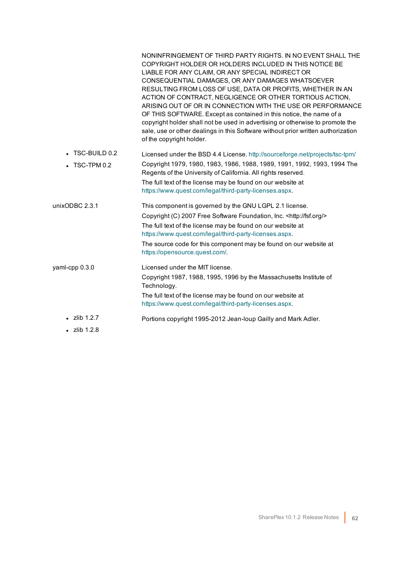|                       | NONINFRINGEMENT OF THIRD PARTY RIGHTS. IN NO EVENT SHALL THE<br>COPYRIGHT HOLDER OR HOLDERS INCLUDED IN THIS NOTICE BE<br>LIABLE FOR ANY CLAIM, OR ANY SPECIAL INDIRECT OR<br>CONSEQUENTIAL DAMAGES, OR ANY DAMAGES WHATSOEVER<br>RESULTING FROM LOSS OF USE, DATA OR PROFITS, WHETHER IN AN<br>ACTION OF CONTRACT, NEGLIGENCE OR OTHER TORTIOUS ACTION,<br>ARISING OUT OF OR IN CONNECTION WITH THE USE OR PERFORMANCE<br>OF THIS SOFTWARE. Except as contained in this notice, the name of a<br>copyright holder shall not be used in advertising or otherwise to promote the<br>sale, use or other dealings in this Software without prior written authorization<br>of the copyright holder. |
|-----------------------|-------------------------------------------------------------------------------------------------------------------------------------------------------------------------------------------------------------------------------------------------------------------------------------------------------------------------------------------------------------------------------------------------------------------------------------------------------------------------------------------------------------------------------------------------------------------------------------------------------------------------------------------------------------------------------------------------|
| $\cdot$ TSC-BUILD 0.2 | Licensed under the BSD 4.4 License. http://sourceforge.net/projects/tsc-tpm/                                                                                                                                                                                                                                                                                                                                                                                                                                                                                                                                                                                                                    |
| TSC-TPM 0.2           | Copyright 1979, 1980, 1983, 1986, 1988, 1989, 1991, 1992, 1993, 1994 The<br>Regents of the University of California. All rights reserved.                                                                                                                                                                                                                                                                                                                                                                                                                                                                                                                                                       |
|                       | The full text of the license may be found on our website at<br>https://www.quest.com/legal/third-party-licenses.aspx.                                                                                                                                                                                                                                                                                                                                                                                                                                                                                                                                                                           |
| unixODBC 2.3.1        | This component is governed by the GNU LGPL 2.1 license.                                                                                                                                                                                                                                                                                                                                                                                                                                                                                                                                                                                                                                         |
|                       | Copyright (C) 2007 Free Software Foundation, Inc. < http://fsf.org/>                                                                                                                                                                                                                                                                                                                                                                                                                                                                                                                                                                                                                            |
|                       | The full text of the license may be found on our website at<br>https://www.quest.com/legal/third-party-licenses.aspx.                                                                                                                                                                                                                                                                                                                                                                                                                                                                                                                                                                           |
|                       | The source code for this component may be found on our website at<br>https://opensource.quest.com/.                                                                                                                                                                                                                                                                                                                                                                                                                                                                                                                                                                                             |
| yaml-cpp 0.3.0        | Licensed under the MIT license.                                                                                                                                                                                                                                                                                                                                                                                                                                                                                                                                                                                                                                                                 |
|                       | Copyright 1987, 1988, 1995, 1996 by the Massachusetts Institute of<br>Technology.                                                                                                                                                                                                                                                                                                                                                                                                                                                                                                                                                                                                               |
|                       | The full text of the license may be found on our website at<br>https://www.quest.com/legal/third-party-licenses.aspx.                                                                                                                                                                                                                                                                                                                                                                                                                                                                                                                                                                           |
| $\cdot$ zlib 1.2.7    | Portions copyright 1995-2012 Jean-loup Gailly and Mark Adler.                                                                                                                                                                                                                                                                                                                                                                                                                                                                                                                                                                                                                                   |
| $\cdot$ zlib 1.2.8    |                                                                                                                                                                                                                                                                                                                                                                                                                                                                                                                                                                                                                                                                                                 |
|                       |                                                                                                                                                                                                                                                                                                                                                                                                                                                                                                                                                                                                                                                                                                 |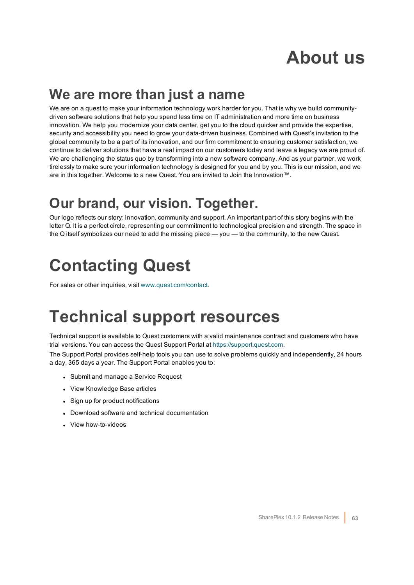## **About us**

### <span id="page-62-0"></span>**We are more than just a name**

We are on a quest to make your information technology work harder for you. That is why we build communitydriven software solutions that help you spend less time on IT administration and more time on business innovation. We help you modernize your data center, get you to the cloud quicker and provide the expertise, security and accessibility you need to grow your data-driven business. Combined with Quest's invitation to the global community to be a part of its innovation, and our firm commitment to ensuring customer satisfaction, we continue to deliver solutions that have a real impact on our customers today and leave a legacy we are proud of. We are challenging the status quo by transforming into a new software company. And as your partner, we work tirelessly to make sure your information technology is designed for you and by you. This is our mission, and we are in this together. Welcome to a new Quest. You are invited to Join the Innovation™.

### **Our brand, our vision. Together.**

Our logo reflects our story: innovation, community and support. An important part of this story begins with the letter Q. It is a perfect circle, representing our commitment to technological precision and strength. The space in the Q itself symbolizes our need to add the missing piece — you — to the community, to the new Quest.

## <span id="page-62-1"></span>**Contacting Quest**

<span id="page-62-2"></span>For sales or other inquiries, visit [www.quest.com/contact](https://www.quest.com/contact).

## **Technical support resources**

Technical support is available to Quest customers with a valid maintenance contract and customers who have trial versions. You can access the Quest Support Portal at [https://support.quest.com](https://support.quest.com/).

The Support Portal provides self-help tools you can use to solve problems quickly and independently, 24 hours a day, 365 days a year. The Support Portal enables you to:

- Submit and manage a Service Request
- View Knowledge Base articles
- Sign up for product notifications
- Download software and technical documentation
- View how-to-videos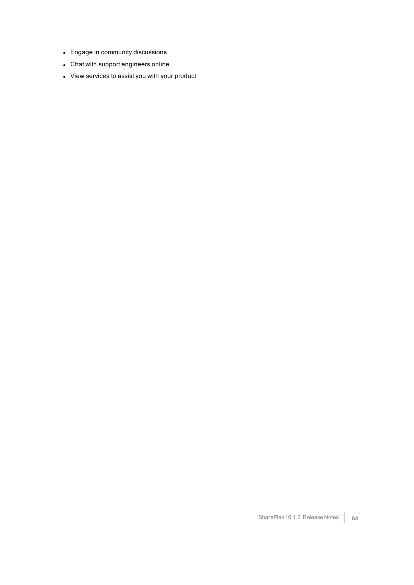- Engage in community discussions
- Chat with support engineers online
- View services to assist you with your product